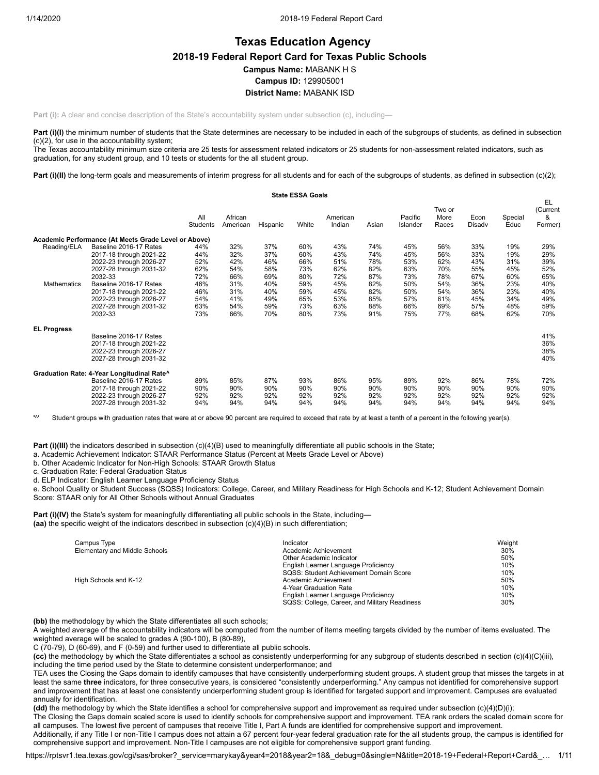# **Texas Education Agency 2018-19 Federal Report Card for Texas Public Schools Campus Name:** MABANK H S **Campus ID:** 129905001 **District Name:** MABANK ISD

**Part (i):** A clear and concise description of the State's accountability system under subsection (c), including—

Part (i)(I) the minimum number of students that the State determines are necessary to be included in each of the subgroups of students, as defined in subsection (c)(2), for use in the accountability system;

The Texas accountability minimum size criteria are 25 tests for assessment related indicators or 25 students for non-assessment related indicators, such as graduation, for any student group, and 10 tests or students for the all student group.

Part (i)(II) the long-term goals and measurements of interim progress for all students and for each of the subgroups of students, as defined in subsection (c)(2);

|                    |                                                      |                 |                     |          | <b>State ESSA Goals</b> |                    |       |                     |                         |                |                 |                                |
|--------------------|------------------------------------------------------|-----------------|---------------------|----------|-------------------------|--------------------|-------|---------------------|-------------------------|----------------|-----------------|--------------------------------|
|                    |                                                      | All<br>Students | African<br>American | Hispanic | White                   | American<br>Indian | Asian | Pacific<br>Islander | Two or<br>More<br>Races | Econ<br>Disadv | Special<br>Educ | EL<br>(Current<br>&<br>Former) |
|                    | Academic Performance (At Meets Grade Level or Above) |                 |                     |          |                         |                    |       |                     |                         |                |                 |                                |
| Reading/ELA        | Baseline 2016-17 Rates                               | 44%             | 32%                 | 37%      | 60%                     | 43%                | 74%   | 45%                 | 56%                     | 33%            | 19%             | 29%                            |
|                    | 2017-18 through 2021-22                              | 44%             | 32%                 | 37%      | 60%                     | 43%                | 74%   | 45%                 | 56%                     | 33%            | 19%             | 29%                            |
|                    | 2022-23 through 2026-27                              | 52%             | 42%                 | 46%      | 66%                     | 51%                | 78%   | 53%                 | 62%                     | 43%            | 31%             | 39%                            |
|                    | 2027-28 through 2031-32                              | 62%             | 54%                 | 58%      | 73%                     | 62%                | 82%   | 63%                 | 70%                     | 55%            | 45%             | 52%                            |
|                    | 2032-33                                              | 72%             | 66%                 | 69%      | 80%                     | 72%                | 87%   | 73%                 | 78%                     | 67%            | 60%             | 65%                            |
| Mathematics        | Baseline 2016-17 Rates                               | 46%             | 31%                 | 40%      | 59%                     | 45%                | 82%   | 50%                 | 54%                     | 36%            | 23%             | 40%                            |
|                    | 2017-18 through 2021-22                              | 46%             | 31%                 | 40%      | 59%                     | 45%                | 82%   | 50%                 | 54%                     | 36%            | 23%             | 40%                            |
|                    | 2022-23 through 2026-27                              | 54%             | 41%                 | 49%      | 65%                     | 53%                | 85%   | 57%                 | 61%                     | 45%            | 34%             | 49%                            |
|                    | 2027-28 through 2031-32                              | 63%             | 54%                 | 59%      | 73%                     | 63%                | 88%   | 66%                 | 69%                     | 57%            | 48%             | 59%                            |
|                    | 2032-33                                              | 73%             | 66%                 | 70%      | 80%                     | 73%                | 91%   | 75%                 | 77%                     | 68%            | 62%             | 70%                            |
| <b>EL Progress</b> |                                                      |                 |                     |          |                         |                    |       |                     |                         |                |                 |                                |
|                    | Baseline 2016-17 Rates                               |                 |                     |          |                         |                    |       |                     |                         |                |                 | 41%                            |
|                    | 2017-18 through 2021-22                              |                 |                     |          |                         |                    |       |                     |                         |                |                 | 36%                            |
|                    | 2022-23 through 2026-27                              |                 |                     |          |                         |                    |       |                     |                         |                |                 | 38%                            |
|                    | 2027-28 through 2031-32                              |                 |                     |          |                         |                    |       |                     |                         |                |                 | 40%                            |
|                    | Graduation Rate: 4-Year Longitudinal Rate^           |                 |                     |          |                         |                    |       |                     |                         |                |                 |                                |
|                    | Baseline 2016-17 Rates                               | 89%             | 85%                 | 87%      | 93%                     | 86%                | 95%   | 89%                 | 92%                     | 86%            | 78%             | 72%                            |
|                    | 2017-18 through 2021-22                              | 90%             | 90%                 | 90%      | 90%                     | 90%                | 90%   | 90%                 | 90%                     | 90%            | 90%             | 90%                            |
|                    | 2022-23 through 2026-27                              | 92%             | 92%                 | 92%      | 92%                     | 92%                | 92%   | 92%                 | 92%                     | 92%            | 92%             | 92%                            |
|                    | 2027-28 through 2031-32                              | 94%             | 94%                 | 94%      | 94%                     | 94%                | 94%   | 94%                 | 94%                     | 94%            | 94%             | 94%                            |

**'**^' Student groups with graduation rates that were at or above 90 percent are required to exceed that rate by at least a tenth of a percent in the following year(s).

**Part (i)(III)** the indicators described in subsection (c)(4)(B) used to meaningfully differentiate all public schools in the State;

a. Academic Achievement Indicator: STAAR Performance Status (Percent at Meets Grade Level or Above)

b. Other Academic Indicator for Non-High Schools: STAAR Growth Status

c. Graduation Rate: Federal Graduation Status

d. ELP Indicator: English Learner Language Proficiency Status

e. School Quality or Student Success (SQSS) Indicators: College, Career, and Military Readiness for High Schools and K-12; Student Achievement Domain Score: STAAR only for All Other Schools without Annual Graduates

**Part (i)(IV)** the State's system for meaningfully differentiating all public schools in the State, including— **(aa)** the specific weight of the indicators described in subsection (c)(4)(B) in such differentiation;

| Campus Type                   | Indicator                                     | Weight |
|-------------------------------|-----------------------------------------------|--------|
| Elementary and Middle Schools | Academic Achievement                          | 30%    |
|                               | Other Academic Indicator                      | 50%    |
|                               | English Learner Language Proficiency          | 10%    |
|                               | SQSS: Student Achievement Domain Score        | 10%    |
| High Schools and K-12         | Academic Achievement                          | 50%    |
|                               | 4-Year Graduation Rate                        | 10%    |
|                               | English Learner Language Proficiency          | 10%    |
|                               | SQSS: College, Career, and Military Readiness | 30%    |

**(bb)** the methodology by which the State differentiates all such schools;

A weighted average of the accountability indicators will be computed from the number of items meeting targets divided by the number of items evaluated. The weighted average will be scaled to grades A (90-100), B (80-89),

C (70-79), D (60-69), and F (0-59) and further used to differentiate all public schools.

**(cc)** the methodology by which the State differentiates a school as consistently underperforming for any subgroup of students described in section (c)(4)(C)(iii), including the time period used by the State to determine consistent underperformance; and

TEA uses the Closing the Gaps domain to identify campuses that have consistently underperforming student groups. A student group that misses the targets in at least the same **three** indicators, for three consecutive years, is considered "consistently underperforming." Any campus not identified for comprehensive support and improvement that has at least one consistently underperforming student group is identified for targeted support and improvement. Campuses are evaluated annually for identification.

**(dd)** the methodology by which the State identifies a school for comprehensive support and improvement as required under subsection (c)(4)(D)(i);

The Closing the Gaps domain scaled score is used to identify schools for comprehensive support and improvement. TEA rank orders the scaled domain score for all campuses. The lowest five percent of campuses that receive Title I, Part A funds are identified for comprehensive support and improvement.

Additionally, if any Title I or non-Title I campus does not attain a 67 percent four-year federal graduation rate for the all students group, the campus is identified for comprehensive support and improvement. Non-Title I campuses are not eligible for comprehensive support grant funding.

https://rptsvr1.tea.texas.gov/cgi/sas/broker?\_service=marykay&year4=2018&year2=18&\_debug=0&single=N&title=2018-19+Federal+Report+Card&\_… 1/11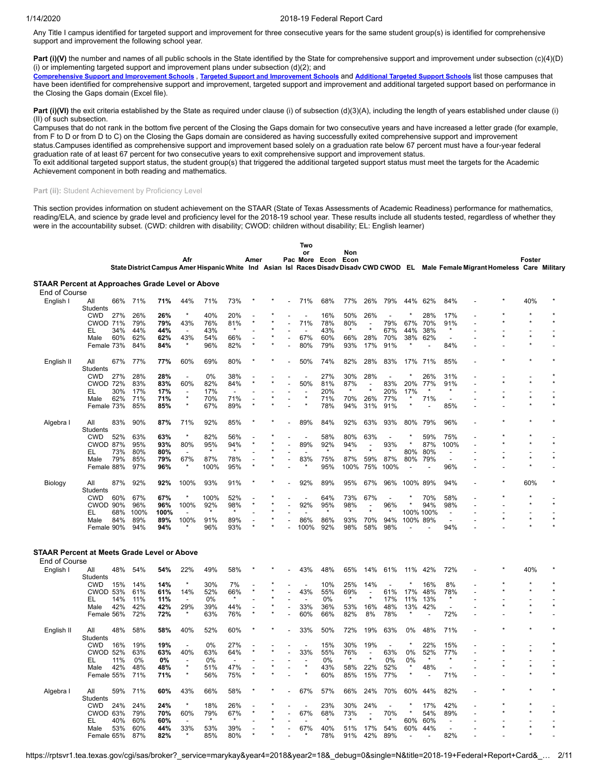Any Title I campus identified for targeted support and improvement for three consecutive years for the same student group(s) is identified for comprehensive support and improvement the following school year.

**Part (i)(V)** the number and names of all public schools in the State identified by the State for comprehensive support and improvement under subsection (c)(4)(D) (i) or implementing targeted support and improvement plans under subsection  $(d)(2)$ ; and

[Comprehensive](https://tea.texas.gov/sites/default/files/comprehensive_support_2019.xlsx) Support and [Improvement](https://tea.texas.gov/sites/default/files/target_support_2019.xlsx) Schools, Targeted Support and Improvement Schools and [Additional](https://tea.texas.gov/sites/default/files/additional_targeted_support_2019.xlsx) Targeted Support Schools list those campuses that have been identified for comprehensive support and improvement, targeted support and improvement and additional targeted support based on performance in the Closing the Gaps domain (Excel file).

Part (i)(VI) the exit criteria established by the State as required under clause (i) of subsection (d)(3)(A), including the length of years established under clause (i) (II) of such subsection.

Campuses that do not rank in the bottom five percent of the Closing the Gaps domain for two consecutive years and have increased a letter grade (for example, from F to D or from D to C) on the Closing the Gaps domain are considered as having successfully exited comprehensive support and improvement status.Campuses identified as comprehensive support and improvement based solely on a graduation rate below 67 percent must have a four-year federal graduation rate of at least 67 percent for two consecutive years to exit comprehensive support and improvement status.

To exit additional targeted support status, the student group(s) that triggered the additional targeted support status must meet the targets for the Academic Achievement component in both reading and mathematics.

### Part (ii): Student Achievement by Proficiency Level

This section provides information on student achievement on the STAAR (State of Texas Assessments of Academic Readiness) performance for mathematics, reading/ELA, and science by grade level and proficiency level for the 2018-19 school year. These results include all students tested, regardless of whether they were in the accountability subset. (CWD: children with disability; CWOD: children without disability; EL: English learner)

|                                                  |                               |     |            |            |                          |            |            |      |  | Two            |               |                |                          |            |                          |                                 |                          |          |                                                                                                                                    |        |  |
|--------------------------------------------------|-------------------------------|-----|------------|------------|--------------------------|------------|------------|------|--|----------------|---------------|----------------|--------------------------|------------|--------------------------|---------------------------------|--------------------------|----------|------------------------------------------------------------------------------------------------------------------------------------|--------|--|
|                                                  |                               |     |            |            |                          |            |            |      |  | or             |               | Non            |                          |            |                          |                                 |                          |          |                                                                                                                                    |        |  |
|                                                  |                               |     |            |            | Afr                      |            |            | Amer |  |                | Pac More Econ | Econ           |                          |            |                          |                                 |                          |          |                                                                                                                                    | Foster |  |
|                                                  |                               |     |            |            |                          |            |            |      |  |                |               |                |                          |            |                          |                                 |                          |          | State District Campus Amer Hispanic White Ind Asian Isl Races Disadv Disadv CWD CWOD EL Male Female Migrant Homeless Care Military |        |  |
|                                                  |                               |     |            |            |                          |            |            |      |  |                |               |                |                          |            |                          |                                 |                          |          |                                                                                                                                    |        |  |
| STAAR Percent at Approaches Grade Level or Above |                               |     |            |            |                          |            |            |      |  |                |               |                |                          |            |                          |                                 |                          |          |                                                                                                                                    |        |  |
| End of Course                                    |                               |     |            |            |                          |            |            |      |  |                |               |                |                          |            |                          |                                 |                          |          |                                                                                                                                    |        |  |
| English I                                        | All                           | 66% | 71%        | 71%        | 44%                      | 71%        | 73%        |      |  | 71%            | 68%           | 77%            | 26%                      | 79%        | 44%                      | 62%                             | 84%                      |          |                                                                                                                                    | 40%    |  |
|                                                  | Students                      | 27% | 26%        |            | ×                        | 40%        |            |      |  |                |               |                |                          |            |                          |                                 | 17%                      |          |                                                                                                                                    |        |  |
|                                                  | <b>CWD</b><br><b>CWOD 71%</b> |     | 79%        | 26%<br>79% | 43%                      | 76%        | 20%<br>81% |      |  | 71%            | 16%<br>78%    | 50%            | 26%                      | 79%        | 67%                      | 28%<br>70%                      | 91%                      |          |                                                                                                                                    |        |  |
|                                                  |                               | 34% | 44%        |            |                          | 43%        |            |      |  |                | 43%           | 80%<br>$\star$ | $\star$                  | 67%        | 44%                      | 38%                             | $\star$                  |          |                                                                                                                                    |        |  |
|                                                  | EL<br>Male                    | 60% | 62%        | 44%<br>62% | 43%                      | 54%        | 66%        |      |  | 67%            | 60%           | 66%            | 28%                      | 70%        | 38%                      | 62%                             |                          |          |                                                                                                                                    |        |  |
|                                                  | Female 73%                    |     | 84%        | 84%        | $\star$                  | 96%        | 82%        |      |  | 80%            | 79%           | 93%            | 17%                      | 91%        | $\star$                  | $\overline{a}$                  | 84%                      | L,       |                                                                                                                                    |        |  |
|                                                  |                               |     |            |            |                          |            |            |      |  |                |               |                |                          |            |                          |                                 |                          |          |                                                                                                                                    |        |  |
| English II                                       | All                           | 67% | 77%        | 77%        | 60%                      | 69%        | 80%        |      |  | 50%            | 74%           | 82%            | 28%                      | 83%        | 17%                      | 71%                             | 85%                      |          |                                                                                                                                    |        |  |
|                                                  | <b>Students</b>               |     |            |            |                          |            |            |      |  |                |               |                |                          |            |                          |                                 |                          |          |                                                                                                                                    |        |  |
|                                                  | <b>CWD</b>                    | 27% | 28%        | 28%        | $\overline{a}$           | 0%         | 38%        |      |  |                | 27%           | 30%            | 28%                      |            |                          | 26%                             | 31%                      |          |                                                                                                                                    |        |  |
|                                                  | <b>CWOD 72%</b>               |     | 83%        | 83%        | 60%                      | 82%        | 84%        |      |  | 50%            | 81%           | 87%            |                          | 83%        | 20%                      | 77%                             | 91%                      |          |                                                                                                                                    |        |  |
|                                                  | EL                            | 30% | 17%        | 17%        |                          | 17%        |            |      |  |                | 20%           | $\star$        | $\star$                  | 20%        | 17%                      | $\star$                         | $\star$                  |          |                                                                                                                                    |        |  |
|                                                  | Male                          | 62% | 71%        | 71%        | $\star$                  | 70%        | 71%        |      |  |                | 71%           | 70%            | 26%                      | 77%        | $\star$                  | 71%                             |                          |          |                                                                                                                                    |        |  |
|                                                  | Female 73%                    |     | 85%        | 85%        | $\star$                  | 67%        | 89%        |      |  |                | 78%           | 94%            | 31%                      | 91%        | $\star$                  |                                 | 85%                      | ÷,       |                                                                                                                                    |        |  |
|                                                  |                               |     |            |            |                          |            |            |      |  |                |               |                |                          |            |                          |                                 |                          |          |                                                                                                                                    |        |  |
| Algebra I                                        | All                           | 83% | 90%        | 87%        | 71%                      | 92%        | 85%        |      |  | 89%            | 84%           | 92%            | 63%                      | 93%        | 80%                      | 79%                             | 96%                      |          |                                                                                                                                    |        |  |
|                                                  | Students                      |     |            |            |                          |            |            |      |  |                |               |                |                          |            |                          |                                 |                          |          |                                                                                                                                    |        |  |
|                                                  | <b>CWD</b>                    | 52% | 63%        | 63%        | $\star$                  | 82%        | 56%        |      |  |                | 58%           | 80%            | 63%                      |            |                          | 59%                             | 75%                      |          |                                                                                                                                    |        |  |
|                                                  | <b>CWOD 87%</b>               |     | 95%        | 93%        | 80%                      | 95%        | 94%        |      |  | 89%            | 92%           | 94%            | $\overline{\phantom{0}}$ | 93%        | $\star$                  | 87%                             | 100%                     |          |                                                                                                                                    |        |  |
|                                                  | EL                            | 73% | 80%        | 80%        |                          | $\star$    |            |      |  |                |               |                |                          |            | 80%                      | 80%                             | $\overline{\phantom{a}}$ |          |                                                                                                                                    |        |  |
|                                                  |                               | 79% | 85%        | 79%        | 67%                      | 87%        | 78%        |      |  | 83%            | 75%           | 87%            | 59%                      | 87%        | 80%                      | 79%                             | $\overline{a}$           |          |                                                                                                                                    |        |  |
|                                                  | Male                          |     |            |            | $\star$                  |            |            |      |  |                |               |                |                          |            |                          |                                 |                          |          |                                                                                                                                    |        |  |
|                                                  | Female 88%                    |     | 97%        | 96%        |                          | 100%       | 95%        |      |  |                | 95%           | 100%           | 75%                      | 100%       | $\overline{\phantom{a}}$ |                                 | 96%                      |          |                                                                                                                                    |        |  |
| Biology                                          | All                           | 87% | 92%        | 92%        | 100%                     | 93%        | 91%        |      |  | 92%            | 89%           | 95%            | 67%                      | 96%        | 100%                     | 89%                             | 94%                      |          |                                                                                                                                    | 60%    |  |
|                                                  | <b>Students</b>               |     |            |            |                          |            |            |      |  |                |               |                |                          |            |                          |                                 |                          |          |                                                                                                                                    |        |  |
|                                                  | <b>CWD</b>                    | 60% | 67%        | 67%        |                          | 100%       | 52%        |      |  | $\overline{a}$ | 64%           | 73%            | 67%                      |            |                          | 70%                             | 58%                      |          |                                                                                                                                    |        |  |
|                                                  | CWOD 90%                      |     | 96%        | 96%        | 100%                     | 92%        | 98%        |      |  | 92%            | 95%           | 98%            |                          | 96%        |                          | 94%                             | 98%                      |          |                                                                                                                                    |        |  |
|                                                  | EL                            | 68% | 100%       | 100%       |                          | $\star$    | $\star$    |      |  |                |               | $\star$        |                          |            | 100% 100%                |                                 |                          |          |                                                                                                                                    |        |  |
|                                                  |                               |     |            |            |                          |            |            |      |  |                |               |                |                          |            |                          |                                 | $\overline{\phantom{a}}$ |          |                                                                                                                                    |        |  |
|                                                  | Male                          | 84% | 89%<br>94% | 89%<br>94% | 100%                     | 91%<br>96% | 89%<br>93% |      |  | 86%<br>100%    | 86%<br>92%    | 93%            | 70%<br>58%               | 94%<br>98% | 100% 89%                 |                                 | 94%                      |          |                                                                                                                                    |        |  |
|                                                  | Female 90%                    |     |            |            |                          |            |            |      |  |                |               | 98%            |                          |            |                          |                                 |                          |          |                                                                                                                                    |        |  |
|                                                  |                               |     |            |            |                          |            |            |      |  |                |               |                |                          |            |                          |                                 |                          |          |                                                                                                                                    |        |  |
| STAAR Percent at Meets Grade Level or Above      |                               |     |            |            |                          |            |            |      |  |                |               |                |                          |            |                          |                                 |                          |          |                                                                                                                                    |        |  |
| End of Course                                    |                               |     |            |            |                          |            |            |      |  |                |               |                |                          |            |                          |                                 |                          |          |                                                                                                                                    |        |  |
| English I                                        | All                           | 48% | 54%        | 54%        | 22%                      | 49%        | 58%        |      |  | 43%            | 48%           | 65%            | 14%                      | 61%        | 11%                      | 42%                             | 72%                      |          |                                                                                                                                    | 40%    |  |
|                                                  | Students                      |     |            |            |                          |            |            |      |  |                |               |                |                          |            |                          |                                 |                          |          |                                                                                                                                    |        |  |
|                                                  | <b>CWD</b>                    | 15% | 14%        | 14%        | $\star$                  | 30%        | 7%         |      |  | $\overline{a}$ | 10%           | 25%            | 14%                      |            |                          | 16%                             | 8%                       |          |                                                                                                                                    |        |  |
|                                                  | <b>CWOD 53%</b>               |     | 61%        | 61%        | 14%                      | 52%        | 66%        |      |  | 43%            | 55%           | 69%            | $\overline{a}$           | 61%        | 17%                      | 48%                             | 78%                      |          |                                                                                                                                    |        |  |
|                                                  | EL                            | 14% | 11%        | 11%        |                          | 0%         |            |      |  |                | 0%            | $\star$        |                          | 17%        | 11%                      | 13%                             |                          |          |                                                                                                                                    |        |  |
|                                                  | Male                          | 42% | 42%        | 42%        | 29%                      | 39%        | 44%        |      |  | 33%            | 36%           | 53%            | 16%                      | 48%        | 13%                      | 42%                             | $\overline{a}$           |          |                                                                                                                                    |        |  |
|                                                  | Female 56%                    |     | 72%        | 72%        | $\star$                  | 63%        | 76%        |      |  | 60%            | 66%           | 82%            | 8%                       | 78%        | $\star$                  | $\blacksquare$                  | 72%                      |          |                                                                                                                                    |        |  |
|                                                  |                               |     |            |            |                          |            |            |      |  |                |               |                |                          |            |                          |                                 |                          |          |                                                                                                                                    |        |  |
| English II                                       | All                           | 48% | 58%        | 58%        | 40%                      | 52%        | 60%        |      |  | 33%            | 50%           | 72%            | 19%                      | 63%        | 0%                       | 48%                             | 71%                      |          |                                                                                                                                    |        |  |
|                                                  | <b>Students</b>               |     |            |            |                          |            |            |      |  |                |               |                |                          |            |                          |                                 |                          |          |                                                                                                                                    |        |  |
|                                                  | <b>CWD</b>                    | 16% | 19%        | 19%        | $\overline{\phantom{a}}$ | 0%         | 27%        |      |  |                | 15%           | 30%            | 19%                      |            | $\star$                  | 22%                             | 15%                      |          |                                                                                                                                    |        |  |
|                                                  | <b>CWOD 52%</b>               |     | 63%        | 63%        | 40%                      | 63%        | 64%        |      |  | 33%            | 55%           | 76%            | $\overline{a}$           | 63%        | 0%                       | 52%                             | 77%                      | L,       |                                                                                                                                    |        |  |
|                                                  | EL                            | 11% | 0%         | 0%         |                          | 0%         |            |      |  |                | 0%            |                |                          | 0%         | 0%                       |                                 |                          |          |                                                                                                                                    |        |  |
|                                                  |                               |     |            |            | $\star$                  |            |            |      |  |                |               |                |                          |            | $\star$                  |                                 |                          |          |                                                                                                                                    |        |  |
|                                                  | Male                          | 42% | 48%<br>71% | 48%        | $\star$                  | 51%<br>56% | 47%        |      |  |                | 43%<br>60%    | 58%            | 22%                      | 52%        |                          | 48%<br>$\overline{\phantom{a}}$ | 71%                      | L,<br>L, |                                                                                                                                    |        |  |
|                                                  | Female 55%                    |     |            | 71%        |                          |            | 75%        |      |  |                |               | 85%            | 15%                      | 77%        |                          |                                 |                          |          |                                                                                                                                    |        |  |
| Algebra I                                        | All                           | 59% | 71%        | 60%        | 43%                      | 66%        | 58%        |      |  | 67%            | 57%           | 66%            | 24%                      | 70%        | 60%                      | 44%                             | 82%                      |          |                                                                                                                                    |        |  |
|                                                  | Students                      |     |            |            |                          |            |            |      |  |                |               |                |                          |            |                          |                                 |                          |          |                                                                                                                                    |        |  |
|                                                  | <b>CWD</b>                    | 24% | 24%        | 24%        | $\star$                  | 18%        | 26%        |      |  |                | 23%           | 30%            | 24%                      |            |                          | 17%                             | 42%                      |          |                                                                                                                                    |        |  |
|                                                  | CWOD 63%                      |     | 79%        | 70%        | 60%                      | 79%        | 67%        |      |  | 67%            | 68%           | 73%            | $\overline{\phantom{a}}$ | 70%        | $\star$                  | 54%                             | 89%                      |          |                                                                                                                                    |        |  |
|                                                  | EL                            | 40% | 60%        | 60%        |                          |            |            |      |  |                |               |                |                          |            | 60%                      | 60%                             |                          |          |                                                                                                                                    |        |  |
|                                                  | Male                          | 53% | 60%        | 44%        | 33%                      | 53%        | 39%        |      |  | 67%            | 40%           | 51%            | 17%                      | 54%        | 60%                      | 44%                             |                          |          |                                                                                                                                    |        |  |
|                                                  | Female 65%                    |     | 87%        | 82%        |                          | 85%        | 80%        |      |  |                | 78%           | 91%            | 42%                      | 89%        | $\overline{\phantom{a}}$ |                                 | 82%                      |          |                                                                                                                                    |        |  |
|                                                  |                               |     |            |            |                          |            |            |      |  |                |               |                |                          |            |                          |                                 |                          |          |                                                                                                                                    |        |  |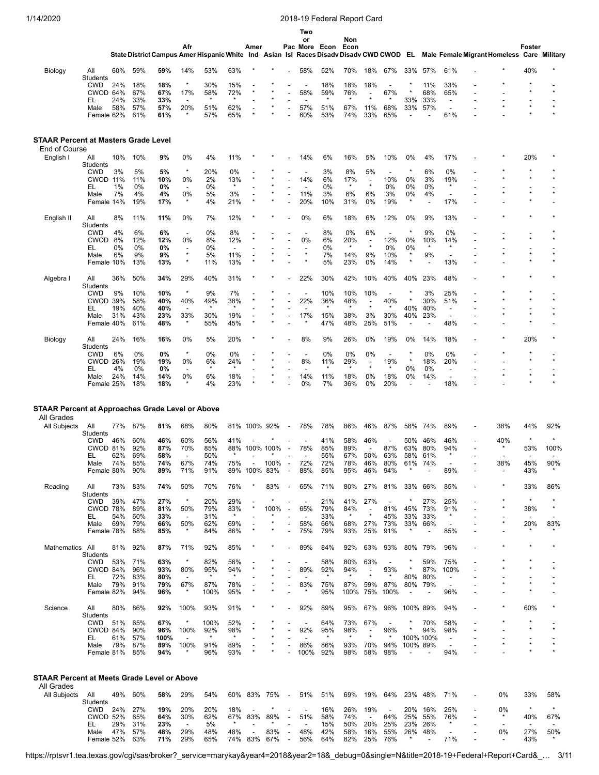|                                                                  |                               |            |              |             |                                 |                |                                 |              |      |                          | Two                             |                |                |                                     |                          |                    |                          |                                                      |                                                                                                                                    |         |                                 |         |
|------------------------------------------------------------------|-------------------------------|------------|--------------|-------------|---------------------------------|----------------|---------------------------------|--------------|------|--------------------------|---------------------------------|----------------|----------------|-------------------------------------|--------------------------|--------------------|--------------------------|------------------------------------------------------|------------------------------------------------------------------------------------------------------------------------------------|---------|---------------------------------|---------|
|                                                                  |                               |            |              |             | Afr                             |                |                                 | Amer         |      |                          | or                              | Pac More Econ  | Non<br>Econ    |                                     |                          |                    |                          |                                                      |                                                                                                                                    |         | Foster                          |         |
|                                                                  |                               |            |              |             |                                 |                |                                 |              |      |                          |                                 |                |                |                                     |                          |                    |                          |                                                      | State District Campus Amer Hispanic White Ind Asian Isl Races Disadv Disadv CWD CWOD EL Male Female Migrant Homeless Care Military |         |                                 |         |
| Biology                                                          | All                           | 60%        | 59%          | 59%         | 14%                             | 53%            | 63%                             |              |      |                          | 58%                             | 52%            | 70%            | 18%                                 | 67%                      | 33%                | 57%                      | 61%                                                  |                                                                                                                                    |         | 40%                             |         |
|                                                                  | Students                      |            |              |             |                                 |                |                                 |              |      |                          |                                 |                |                |                                     |                          |                    |                          |                                                      |                                                                                                                                    |         |                                 |         |
|                                                                  | <b>CWD</b><br>CWOD 64%        | 24%        | 18%<br>67%   | 18%<br>67%  | $\star$<br>17%                  | 30%<br>58%     | 15%<br>72%                      |              |      |                          | 58%                             | 18%<br>59%     | 18%<br>76%     | 18%                                 | 67%                      |                    | 11%<br>68%               | 33%<br>65%                                           |                                                                                                                                    |         |                                 |         |
|                                                                  | EL                            | 24%        | 33%          | 33%         |                                 |                | $\star$                         |              |      |                          |                                 |                |                |                                     |                          | 33%                | 33%                      | $\overline{\phantom{a}}$                             |                                                                                                                                    |         |                                 |         |
|                                                                  | Male<br>Female 62%            | 58%        | 57%<br>61%   | 57%<br>61%  | 20%                             | 51%<br>57%     | 62%<br>65%                      |              |      |                          | 57%<br>60%                      | 51%<br>53%     | 67%<br>74%     | 11%<br>33%                          | 68%<br>65%               | 33%                | 57%                      | $\overline{\phantom{a}}$<br>61%                      |                                                                                                                                    |         |                                 |         |
|                                                                  |                               |            |              |             |                                 |                |                                 |              |      |                          |                                 |                |                |                                     |                          |                    |                          |                                                      |                                                                                                                                    |         |                                 |         |
|                                                                  |                               |            |              |             |                                 |                |                                 |              |      |                          |                                 |                |                |                                     |                          |                    |                          |                                                      |                                                                                                                                    |         |                                 |         |
| <b>STAAR Percent at Masters Grade Level</b><br>End of Course     |                               |            |              |             |                                 |                |                                 |              |      |                          |                                 |                |                |                                     |                          |                    |                          |                                                      |                                                                                                                                    |         |                                 |         |
| English I                                                        | All                           | 10%        | 10%          | 9%          | 0%                              | 4%             | 11%                             |              |      |                          | 14%                             | 6%             | 16%            | 5%                                  | 10%                      | 0%                 | 4%                       | 17%                                                  |                                                                                                                                    |         | 20%                             |         |
|                                                                  | Students<br><b>CWD</b>        | 3%         | 5%           | 5%          | $\star$                         | 20%            | 0%                              |              |      |                          |                                 | 3%             | 8%             | 5%                                  | $\overline{\phantom{a}}$ | $\star$            | 6%                       | 0%                                                   |                                                                                                                                    |         |                                 |         |
|                                                                  | CWOD 11%                      |            | 11%          | 10%         | 0%                              | 2%             | 13%                             |              |      |                          | 14%                             | 6%             | 17%            |                                     | 10%                      | 0%                 | 3%                       | 19%                                                  |                                                                                                                                    |         |                                 |         |
|                                                                  | EL<br>Male                    | 1%<br>7%   | 0%<br>4%     | 0%<br>4%    | $\overline{\phantom{a}}$<br>0%  | 0%<br>5%       | $\star$<br>3%                   |              |      |                          | 11%                             | 0%<br>3%       | $\star$<br>6%  | $\star$<br>6%                       | 0%<br>3%                 | 0%<br>0%           | 0%<br>4%                 | $\star$<br>$\overline{\phantom{a}}$                  |                                                                                                                                    |         |                                 |         |
|                                                                  | Female 14%                    |            | 19%          | 17%         | $\star$                         | 4%             | 21%                             |              |      |                          | 20%                             | 10%            | 31%            | 0%                                  | 19%                      | *                  | $\overline{a}$           | 17%                                                  |                                                                                                                                    |         |                                 |         |
|                                                                  |                               | 8%         | 11%          |             | 0%                              | 7%             |                                 |              |      |                          | 0%                              | 6%             | 18%            |                                     |                          |                    | 9%                       |                                                      |                                                                                                                                    |         |                                 |         |
| English II                                                       | All<br>Students               |            |              | 11%         |                                 |                | 12%                             |              |      |                          |                                 |                |                | 6%                                  | 12%                      | 0%                 |                          | 13%                                                  |                                                                                                                                    |         |                                 |         |
|                                                                  | <b>CWD</b>                    | 4%         | 6%           | 6%          | $\overline{\phantom{a}}$        | 0%             | 8%                              |              |      |                          | 0%                              | 8%<br>6%       | 0%             | 6%                                  |                          | $\star$            | 9%                       | 0%                                                   |                                                                                                                                    |         |                                 |         |
|                                                                  | CWOD<br>EL                    | 8%<br>0%   | 12%<br>$0\%$ | 12%<br>0%   | 0%<br>$\overline{\phantom{a}}$  | 8%<br>0%       | 12%<br>$\overline{\phantom{a}}$ |              |      |                          |                                 | 0%             | 20%<br>$\ast$  | $\overline{\phantom{a}}$<br>$\star$ | 12%<br>0%                | 0%<br>0%           | 10%<br>$\star$           | 14%                                                  |                                                                                                                                    |         |                                 |         |
|                                                                  | Male                          | 6%         | 9%           | 9%          | $\star$<br>$\star$              | 5%             | 11%                             |              |      |                          | $\star$                         | 7%             | 14%            | 9%                                  | 10%                      | $\star$<br>$\star$ | 9%                       | $\overline{\phantom{a}}$                             |                                                                                                                                    |         |                                 |         |
|                                                                  | Female 10%                    |            | 13%          | 13%         |                                 | 11%            | 13%                             |              |      |                          |                                 | 5%             | 23%            | 0%                                  | 14%                      |                    |                          | 13%                                                  | ÷,                                                                                                                                 |         |                                 |         |
| Algebra I                                                        | All                           | 36%        | 50%          | 34%         | 29%                             | 40%            | 31%                             |              |      |                          | 22%                             | 30%            | 42%            | 10%                                 | 40%                      | 40%                | 23%                      | 48%                                                  |                                                                                                                                    |         |                                 |         |
|                                                                  | <b>Students</b><br><b>CWD</b> | 9%         | 10%          | 10%         | $\star$                         | 9%             | 7%                              |              |      |                          | ÷,                              | 10%            | 10%            | 10%                                 | $\overline{\phantom{0}}$ |                    | 3%                       | 25%                                                  |                                                                                                                                    |         |                                 |         |
|                                                                  | <b>CWOD 39%</b>               |            | 58%          | 40%         | 40%                             | 49%            | 38%                             |              |      |                          | 22%                             | 36%            | 48%            | $\overline{\phantom{a}}$<br>$\star$ | 40%<br>$\star$           | ź                  | 30%                      | 51%                                                  |                                                                                                                                    |         |                                 |         |
|                                                                  | EL<br>Male                    | 19%<br>31% | 40%<br>43%   | 40%<br>23%  | $\overline{\phantom{a}}$<br>33% | 30%            | 19%                             |              |      |                          | 17%                             | 15%            | 38%            | 3%                                  | 30%                      | 40%<br>40%         | 40%<br>23%               | $\overline{\phantom{a}}$<br>$\overline{\phantom{a}}$ |                                                                                                                                    |         |                                 |         |
|                                                                  | Female 40%                    |            | 61%          | 48%         | $\star$                         | 55%            | 45%                             |              |      |                          | $\star$                         | 47%            | 48%            | 25%                                 | 51%                      |                    |                          | 48%                                                  |                                                                                                                                    |         |                                 |         |
| Biology                                                          | All                           | 24%        | 16%          | 16%         | 0%                              | 5%             | 20%                             |              |      |                          | 8%                              | 9%             | 26%            | 0%                                  | 19%                      | 0%                 | 14%                      | 18%                                                  |                                                                                                                                    |         | 20%                             |         |
|                                                                  | Students<br><b>CWD</b>        | 6%         | 0%           | 0%          |                                 | 0%             | 0%                              |              |      |                          | ÷,                              | 0%             | 0%             | 0%                                  | $\overline{\phantom{a}}$ |                    | 0%                       | $0\%$                                                |                                                                                                                                    |         |                                 |         |
|                                                                  | <b>CWOD 26%</b><br>EL         | 4%         | 19%<br>$0\%$ | 19%<br>0%   | 0%<br>$\overline{\phantom{a}}$  | 6%             | 24%<br>$\star$                  |              |      |                          | 8%                              | 11%            | 29%            | $\overline{\phantom{a}}$<br>$\star$ | 19%<br>$\star$           | $\star$<br>0%      | 18%<br>$0\%$             | 20%<br>$\overline{\phantom{a}}$                      |                                                                                                                                    |         |                                 |         |
|                                                                  | Male                          | 24%        | 14%          | 14%         | 0%                              | 6%             | 18%                             |              |      |                          | 14%                             | 11%            | 18%            | 0%                                  | 18%                      | 0%                 | 14%                      | $\overline{\phantom{a}}$                             |                                                                                                                                    |         | $\star$                         |         |
|                                                                  | Female 25%                    |            | 18%          | 18%         |                                 | 4%             | 23%                             |              |      |                          | 0%                              | 7%             | 36%            | 0%                                  | 20%                      |                    |                          | 18%                                                  |                                                                                                                                    |         |                                 |         |
|                                                                  |                               |            |              |             |                                 |                |                                 |              |      |                          |                                 |                |                |                                     |                          |                    |                          |                                                      |                                                                                                                                    |         |                                 |         |
| STAAR Percent at Approaches Grade Level or Above                 |                               |            |              |             |                                 |                |                                 |              |      |                          |                                 |                |                |                                     |                          |                    |                          |                                                      |                                                                                                                                    |         |                                 |         |
| All Grades                                                       |                               |            |              |             |                                 |                |                                 |              |      |                          |                                 |                |                |                                     |                          |                    |                          |                                                      |                                                                                                                                    |         |                                 |         |
| All Subjects                                                     | All<br>Students               | 77%        | 87%          | 81%         | 68%                             | 80%            | 81%                             | 100%         | 92%  |                          | 78%                             | 78%            | 86%            | 46%                                 | 87%                      | 58%                | 74%                      | 89%                                                  |                                                                                                                                    | 38%     | 44%                             | 92%     |
|                                                                  | <b>CWD</b><br>CWOD 81%        | 46%        | 60%<br>92%   | 46%<br>87%  | 60%<br>70%                      | 56%<br>85%     | 41%<br>88%                      | 100%         | 100% |                          | 78%                             | 41%<br>85%     | 58%<br>89%     | 46%                                 | 87%                      | 50%<br>63%         | 46%<br>80%               | 46%<br>94%                                           |                                                                                                                                    | 40%     | $\star$<br>53%                  | 100%    |
|                                                                  | ΕL                            | 62%        | 69%          | 58%         |                                 | 50%            | $\star$                         |              |      |                          |                                 | 55%            | 67%            | 50%                                 | 63%                      | 58%                | 61%                      | $\star$                                              |                                                                                                                                    |         |                                 |         |
|                                                                  | Male<br>Female 80%            | 74%        | 85%<br>90%   | 74%<br>89%  | 67%<br>71%                      | 74%<br>91%     | 75%                             | 89% 100% 83% | 100% | $\overline{\phantom{a}}$ | 72%<br>88%                      | 72%<br>85%     | 78%<br>95%     | 46%<br>46%                          | 80%<br>94%               | 61%                | 74%                      | 89%                                                  |                                                                                                                                    | 38%     | 45%<br>43%                      | 90%     |
|                                                                  |                               |            |              |             |                                 |                |                                 |              |      |                          |                                 |                |                |                                     |                          |                    |                          |                                                      |                                                                                                                                    |         |                                 |         |
| Reading                                                          | All<br>Students               | 73%        | 83%          | 74%         | 50%                             | 70%            | 76%                             |              | 83%  |                          | 65%                             | 71%            | 80%            | 27%                                 | 81%                      | 33%                | 66%                      | 85%                                                  |                                                                                                                                    |         | 33%                             | 86%     |
|                                                                  | <b>CWD</b>                    | 39%        | 47%          | 27%         | $\star$                         | 20%            | 29%                             |              | *    |                          | Ĭ.                              | 21%            | 41%            | 27%                                 | $\overline{\phantom{a}}$ | ×                  | 27%                      | 25%                                                  |                                                                                                                                    |         | $\star$                         |         |
|                                                                  | CWOD 78%<br>EL                | 54%        | 89%<br>60%   | 81%<br>33%  | 50%<br>$\overline{\phantom{a}}$ | 79%<br>31%     | 83%<br>$\star$                  |              | 100% | $\overline{\phantom{a}}$ | 65%<br>$\overline{\phantom{a}}$ | 79%<br>33%     | 84%<br>$\star$ | $\star$                             | 81%<br>45%               | 45%<br>33%         | 73%<br>33%               | 91%<br>$\star$                                       | ÷,                                                                                                                                 |         | 38%                             |         |
|                                                                  | Male                          | 69%        | 79%          | 66%         | 50%<br>$\star$                  | 62%            | 69%                             |              |      |                          | 58%                             | 66%            | 68%            | 27%                                 | 73%                      | 33%<br>$\star$     | 66%                      | $\overline{\phantom{a}}$                             | ÷,                                                                                                                                 |         | 20%                             | 83%     |
|                                                                  | Female 78%                    |            | 88%          | 85%         |                                 | 84%            | 86%                             |              |      |                          | 75%                             | 79%            | 93%            | 25%                                 | 91%                      |                    | $\overline{\phantom{a}}$ | 85%                                                  |                                                                                                                                    |         |                                 |         |
| Mathematics                                                      | All<br>Students               | 81%        | 92%          | 87%         | 71%                             | 92%            | 85%                             |              |      |                          | 89%                             | 84%            | 92%            | 63%                                 | 93%                      | 80%                | 79%                      | 96%                                                  |                                                                                                                                    |         |                                 |         |
|                                                                  | <b>CWD</b><br>CWOD 84%        | 53%        | 71%<br>96%   | 63%<br>93%  | $\star$<br>80%                  | 82%<br>95%     | 56%<br>94%                      |              |      |                          | $\overline{\phantom{a}}$<br>89% | 58%<br>92%     | 80%<br>94%     | 63%<br>$\overline{\phantom{a}}$     | 93%                      | ź<br>$\star$       | 59%<br>87%               | 75%<br>100%                                          |                                                                                                                                    |         |                                 |         |
|                                                                  | EL                            | 72%        | 83%          | 80%         |                                 |                | $\star$                         |              |      |                          |                                 |                |                | $\star$                             | $\star$                  | 80%                | 80%                      | $\overline{\phantom{a}}$                             |                                                                                                                                    |         |                                 |         |
|                                                                  | Male                          | 79%        | 91%          | 79%         | 67%<br>$\star$                  | 87%<br>100%    | 78%<br>95%                      |              |      |                          | 83%                             | 75%<br>95%     | 87%<br>100%    | 59%                                 | 87%<br>100%              | 80%                | 79%                      | $\overline{a}$<br>96%                                |                                                                                                                                    |         |                                 |         |
|                                                                  | Female 82%                    |            | 94%          | 96%         |                                 |                |                                 |              |      |                          |                                 |                |                | 75%                                 |                          |                    |                          |                                                      |                                                                                                                                    |         |                                 |         |
| Science                                                          | All<br>Students               | 80%        | 86%          | 92%         | 100%                            | 93%            | 91%                             |              |      |                          | 92%                             | 89%            | 95%            | 67%                                 | 96%                      | 100% 89%           |                          | 94%                                                  |                                                                                                                                    |         | 60%                             |         |
|                                                                  | <b>CWD</b>                    | 51%        | 65%          | 67%         | $^{\ast}$                       | 100%           | 52%                             |              |      |                          | $\overline{\phantom{a}}$        | 64%            | 73%            | 67%                                 | $\overline{\phantom{a}}$ |                    | 70%                      | 58%                                                  |                                                                                                                                    |         |                                 |         |
|                                                                  | CWOD 84%<br>EL                | 61%        | 90%<br>57%   | 96%<br>100% | 100%                            | 92%<br>$\star$ | 98%<br>$\star$                  |              |      |                          | 92%                             | 95%<br>$\star$ | 98%<br>$\star$ | $\overline{\phantom{a}}$<br>$\star$ | 96%<br>$\star$           |                    | 94%<br>100% 100%         | 98%<br>$\overline{\phantom{a}}$                      |                                                                                                                                    |         |                                 |         |
|                                                                  | Male                          | 79%        | 87%          | 89%         | 100%                            | 91%            | 89%                             |              |      |                          | 86%                             | 86%            | 93%            | 70%                                 | 94%                      | 100% 89%           |                          | $\overline{\phantom{a}}$                             |                                                                                                                                    |         |                                 | $\star$ |
|                                                                  | Female 81%                    |            | 85%          | 94%         |                                 | 96%            | 93%                             |              |      |                          | 100%                            | 92%            | 98%            | 58%                                 | 98%                      |                    |                          | 94%                                                  |                                                                                                                                    |         |                                 |         |
|                                                                  |                               |            |              |             |                                 |                |                                 |              |      |                          |                                 |                |                |                                     |                          |                    |                          |                                                      |                                                                                                                                    |         |                                 |         |
| <b>STAAR Percent at Meets Grade Level or Above</b><br>All Grades |                               |            |              |             |                                 |                |                                 |              |      |                          |                                 |                |                |                                     |                          |                    |                          |                                                      |                                                                                                                                    |         |                                 |         |
| All Subjects                                                     | All<br><b>Students</b>        | 49%        | 60%          | 58%         | 29%                             | 54%            | 60%                             | 83%          | 75%  | $\overline{\phantom{a}}$ | 51%                             | 51%            | 69%            | 19%                                 | 64%                      | 23%                | 48%                      | 71%                                                  |                                                                                                                                    | 0%      | 33%                             | 58%     |
|                                                                  | <b>CWD</b>                    | 24%        | 27%          | 19%         | 20%                             | 20%            | 18%                             |              |      |                          |                                 | 16%            | 26%            | 19%                                 |                          | 20%                | 16%                      | 25%                                                  |                                                                                                                                    | 0%      | $\star$                         |         |
|                                                                  | <b>CWOD 52%</b><br>EL         | 29%        | 65%<br>31%   | 64%<br>23%  | 30%<br>$\overline{\phantom{a}}$ | 62%<br>5%      | 67%<br>$\star$                  | 83%          | 89%  |                          | 51%<br>٠                        | 58%<br>15%     | 74%<br>50%     | $\overline{\phantom{a}}$<br>20%     | 64%<br>25%               | 25%<br>23%         | 55%<br>26%               | 76%<br>$\star$                                       |                                                                                                                                    | $\star$ | 40%<br>$\overline{\phantom{a}}$ | 67%     |
|                                                                  | Male                          | 47%        | 57%          | 48%         | 29%                             | 48%            | 48%                             |              | 83%  | $\overline{\phantom{a}}$ | 48%                             | 42%            | 58%            | 16%                                 | 55%                      |                    | 26% 48%                  | $\blacksquare$                                       |                                                                                                                                    | 0%      | 27%                             | 50%     |
|                                                                  | Female 52%                    |            | 63%          | 71%         | 29%                             | 65%            |                                 | 74% 83%      | 67%  | $\overline{\phantom{a}}$ | 56%                             | 64%            | 82%            | 25%                                 | 76%                      | $\star$            |                          | 71%                                                  |                                                                                                                                    |         | 43%                             |         |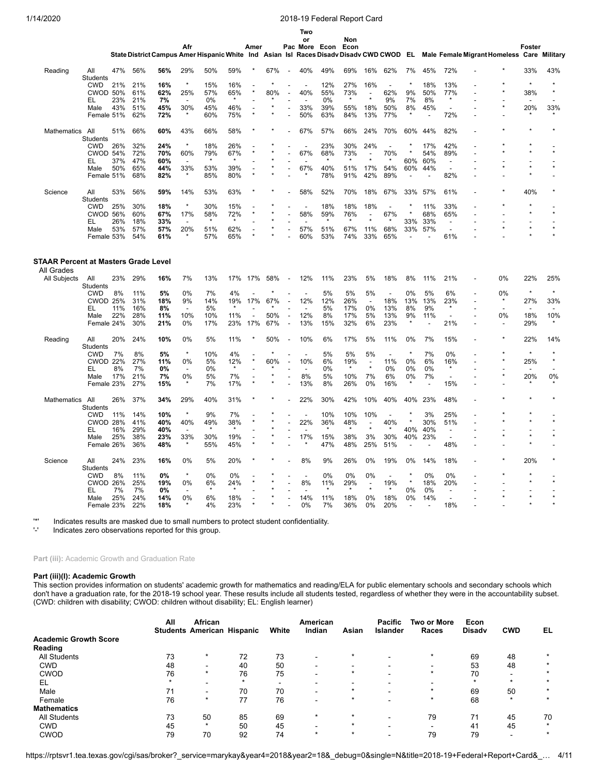|                            |                               |     |            |                                                                                         |                          |         |            |                |         |                          | Two                      |               |             |                          |                          |         |                |                          |                                            |         |         |
|----------------------------|-------------------------------|-----|------------|-----------------------------------------------------------------------------------------|--------------------------|---------|------------|----------------|---------|--------------------------|--------------------------|---------------|-------------|--------------------------|--------------------------|---------|----------------|--------------------------|--------------------------------------------|---------|---------|
|                            |                               |     |            |                                                                                         | Afr                      |         |            | Amer           |         |                          | or                       | Pac More Econ | Non<br>Econ |                          |                          |         |                |                          |                                            | Foster  |         |
|                            |                               |     |            | State District Campus Amer Hispanic White Ind Asian Isl Races Disady Disady CWD CWOD EL |                          |         |            |                |         |                          |                          |               |             |                          |                          |         |                |                          | Male Female Migrant Homeless Care Military |         |         |
| Reading                    | All                           | 47% | 56%        | 56%                                                                                     | 29%                      | 50%     | 59%        |                | 67%     | $\overline{\phantom{a}}$ | 40%                      | 49%           | 69%         | 16%                      | 62%                      | 7%      | 45%            | 72%                      |                                            | 33%     | 43%     |
|                            | <b>Students</b>               |     |            |                                                                                         | $\star$                  | 15%     |            |                | $\star$ |                          | $\overline{\phantom{a}}$ | 12%           | 27%         |                          | $\overline{\phantom{a}}$ |         | 18%            |                          |                                            | $\star$ |         |
|                            | <b>CWD</b><br><b>CWOD 50%</b> | 21% | 21%<br>61% | 16%<br>62%                                                                              | 25%                      | 57%     | 16%<br>65% |                | 80%     |                          | 40%                      | 55%           | 73%         | 16%<br>$\overline{a}$    | 62%                      | 9%      | 50%            | 13%<br>77%               |                                            | 38%     |         |
|                            | EL                            | 23% | 21%        | 7%                                                                                      | $\overline{\phantom{a}}$ | 0%      | $\star$    |                |         |                          |                          | 0%            |             |                          | 9%                       | 7%      | 8%             |                          |                                            |         |         |
|                            | Male                          | 43% | 51%        | 45%                                                                                     | 30%                      | 45%     | 46%        |                | ×       | ÷,                       | 33%                      | 39%           | 55%         | 18%                      | 50%                      | 8%      | 45%            | $\overline{a}$           |                                            | 20%     | 33%     |
|                            | Female 51%                    |     | 62%        | 72%                                                                                     | $\star$                  | 60%     | 75%        |                |         |                          | 50%                      | 63%           | 84%         | 13%                      | 77%                      |         |                | 72%                      |                                            |         |         |
| <b>Mathematics</b>         | All<br>Students               | 51% | 66%        | 60%                                                                                     | 43%                      | 66%     | 58%        |                |         |                          | 67%                      | 57%           | 66%         | 24%                      | 70%                      | 60%     | 44%            | 82%                      |                                            |         |         |
|                            | <b>CWD</b>                    | 26% | 32%        | 24%                                                                                     | $\star$                  | 18%     | 26%        |                |         |                          | $\overline{\phantom{a}}$ | 23%           | 30%         | 24%                      |                          |         | 17%            | 42%                      |                                            |         |         |
|                            | CWOD 54%                      |     | 72%        | 70%                                                                                     | 60%                      | 79%     | 67%        |                |         |                          | 67%                      | 68%           | 73%         | ÷,                       | 70%                      |         | 54%            | 89%                      |                                            |         |         |
|                            | EL                            | 37% | 47%        | 60%                                                                                     |                          | $\star$ |            |                |         |                          |                          |               |             | $\star$                  | $\star$                  | 60%     | 60%            | $\overline{\phantom{a}}$ |                                            |         |         |
|                            | Male                          | 50% | 65%        | 44%                                                                                     | 33%                      | 53%     | 39%        |                |         |                          | 67%                      | 40%           | 51%         | 17%                      | 54%                      | 60%     | 44%            | $\overline{a}$           |                                            |         |         |
|                            | Female 51%                    |     | 68%        | 82%                                                                                     |                          | 85%     | 80%        |                |         |                          |                          | 78%           | 91%         | 42%                      | 89%                      |         |                | 82%                      |                                            |         |         |
| Science                    | All<br>Students               | 53% | 56%        | 59%                                                                                     | 14%                      | 53%     | 63%        |                |         |                          | 58%                      | 52%           | 70%         | 18%                      | 67%                      | 33%     | 57%            | 61%                      |                                            | 40%     |         |
|                            | <b>CWD</b>                    | 25% | 30%        | 18%                                                                                     | $\star$                  | 30%     | 15%        |                |         |                          |                          | 18%           | 18%         | 18%                      | $\overline{a}$           |         | 11%            | 33%                      |                                            |         |         |
|                            | <b>CWOD 56%</b>               |     | 60%        | 67%                                                                                     | 17%                      | 58%     | 72%        |                |         |                          | 58%                      | 59%           | 76%         | $\overline{\phantom{a}}$ | 67%                      |         | 68%            | 65%                      |                                            |         | $\star$ |
|                            | EL                            | 26% | 18%        | 33%                                                                                     |                          | $\star$ |            |                |         |                          |                          |               |             |                          |                          | 33%     | 33%            | $\overline{\phantom{a}}$ |                                            |         |         |
|                            | Male                          | 53% | 57%        | 57%                                                                                     | 20%                      | 51%     | 62%        |                |         |                          | 57%                      | 51%           | 67%         | 11%                      | 68%                      | 33%     | 57%            | $\overline{a}$           |                                            |         |         |
|                            | Female 53%                    |     | 54%        | 61%                                                                                     |                          | 57%     | 65%        |                |         |                          | 60%                      | 53%           | 74%         | 33%                      | 65%                      |         |                | 61%                      |                                            |         |         |
| All Grades<br>All Subjects | All                           | 23% | 29%        | 16%                                                                                     | 7%                       | 13%     | 17%        | 17%            | 58%     | $\overline{\phantom{a}}$ | 12%                      | 11%           | 23%         | 5%                       | 18%                      | 8%      | 11%            | 21%                      | 0%                                         | 22%     | 25%     |
|                            | Students<br><b>CWD</b>        | 8%  | 11%        | 5%                                                                                      | 0%                       | 7%      | 4%         |                |         |                          |                          | 5%            | 5%          | 5%                       | $\overline{a}$           | 0%      | 5%             | 6%                       | 0%                                         | $\star$ | $\star$ |
|                            | <b>CWOD 25%</b>               |     | 31%        | 18%                                                                                     | 9%                       | 14%     | 19%        | 17%            | 67%     |                          | 12%                      | 12%           | 26%         | $\sim$                   | 18%                      | 13%     | 13%            | 23%                      | $\star$                                    | 27%     | 33%     |
|                            | EL                            | 11% | 16%        | 8%                                                                                      |                          | 5%      |            |                |         |                          |                          | 5%            | 17%         | 0%                       | 13%                      | 8%      | 9%             |                          |                                            |         |         |
|                            | Male                          | 22% | 28%        | 11%                                                                                     | 10%                      | 10%     | 11%        | $\overline{a}$ | 50%     | $\overline{a}$           | 12%                      | 8%            | 17%         | 5%                       | 13%                      | 9%      | 11%            | $\overline{\phantom{a}}$ | 0%                                         | 18%     | 10%     |
|                            | Female 24%                    |     | 30%        | 21%                                                                                     | 0%                       | 17%     | 23%        | 17%            | 67%     | $\overline{a}$           | 13%                      | 15%           | 32%         | 6%                       | 23%                      | $\star$ | $\overline{a}$ | 21%                      |                                            | 29%     |         |
| Reading                    | All                           | 20% | 24%        | 10%                                                                                     | 0%                       | 5%      | 11%        |                | 50%     | $\overline{a}$           | 10%                      | 6%            | 17%         | 5%                       | 11%                      | 0%      | 7%             | 15%                      |                                            | 22%     | 14%     |
|                            | Students<br><b>CWD</b>        | 7%  | 8%         | 5%                                                                                      | $\star$                  | 10%     | 4%         |                | $\star$ |                          | $\overline{\phantom{a}}$ | 5%            | 5%          | 5%                       | $\overline{a}$           | $\star$ | 7%             | 0%                       |                                            | $\star$ |         |
|                            | <b>CWOD 22%</b>               |     | 27%        | 11%                                                                                     | 0%                       | 5%      | 12%        |                | 60%     |                          | 10%                      | 6%            | 19%         | $\overline{\phantom{a}}$ | 11%                      | 0%      | 6%             | 16%                      |                                            | 25%     |         |
|                            | EL                            | 8%  | 7%         | 0%                                                                                      | $\overline{\phantom{a}}$ | 0%      |            |                |         |                          |                          | 0%            | $\star$     | $\star$                  | 0%                       | 0%      | 0%             | $\star$                  |                                            |         |         |
|                            | Male                          | 17% | 21%        | 7%                                                                                      | 0%                       | 5%      | 7%         |                |         |                          | 8%                       | 5%            | 10%         | 7%                       | 6%                       | 0%      | 7%             |                          |                                            | 20%     | 0%      |
|                            | Female 23%                    |     | 27%        | 15%                                                                                     |                          | 7%      | 17%        |                |         |                          | 13%                      | 8%            | 26%         | 0%                       | 16%                      |         |                | 15%                      |                                            |         |         |
| <b>Mathematics</b>         | All<br>Students               | 26% | 37%        | 34%                                                                                     | 29%                      | 40%     | 31%        |                |         |                          | 22%                      | 30%           | 42%         | 10%                      | 40%                      | 40%     | 23%            | 48%                      |                                            |         |         |
|                            | <b>CWD</b>                    | 11% | 14%        | 10%                                                                                     | $\star$                  | 9%      | 7%         |                |         |                          |                          | 10%           | 10%         | 10%                      |                          |         | 3%             | 25%                      |                                            |         |         |
|                            | CWOD 28%                      |     | 41%        | 40%                                                                                     | 40%                      | 49%     | 38%        |                |         |                          | 22%                      | 36%           | 48%         | $\overline{\phantom{a}}$ | 40%                      |         | 30%            | 51%                      |                                            |         |         |
|                            | EL                            | 16% | 29%        | 40%                                                                                     | $\overline{\phantom{a}}$ | $\star$ | $\star$    |                |         |                          | $\overline{\phantom{a}}$ | $\star$       | $\star$     | $\star$                  | $\star$                  | 40%     | 40%            | $\overline{\phantom{a}}$ |                                            |         |         |
|                            | Male                          | 25% | 38%        | 23%                                                                                     | 33%                      | 30%     | 19%        |                |         |                          | 17%                      | 15%           | 38%         | 3%                       | 30%                      | 40%     | 23%            |                          |                                            |         |         |
|                            | Female 26%                    |     | 36%        | 48%                                                                                     |                          | 55%     | 45%        |                |         |                          |                          | 47%           | 48%         | 25%                      | 51%                      |         |                | 48%                      |                                            | $\star$ |         |
| Science                    | All<br>Students               | 24% | 23%        | 16%                                                                                     | 0%                       | 5%      | 20%        |                |         |                          | 8%                       | 9%            | 26%         | 0%                       | 19%                      | 0%      | 14%            | 18%                      |                                            | 20%     |         |
|                            | <b>CWD</b>                    | 8%  | 11%        | 0%                                                                                      | $\star$                  | 0%      | 0%         |                |         |                          |                          | 0%            | 0%          | 0%                       | $\overline{a}$           |         | 0%             | 0%                       |                                            |         |         |
|                            | <b>CWOD 26%</b>               |     | 25%        | 19%                                                                                     | 0%                       | 6%      | 24%        |                |         |                          | 8%                       | 11%           | 29%         | $\overline{\phantom{a}}$ | 19%                      |         | 18%            | 20%                      |                                            |         |         |
|                            | EL                            | 7%  | 7%         | 0%                                                                                      |                          |         |            |                |         |                          |                          |               |             |                          |                          | 0%      | 0%             |                          |                                            |         |         |
|                            | Male                          | 25% | 24%        | 14%                                                                                     | 0%                       | 6%      | 18%        |                |         |                          | 14%                      | 11%           | 18%         | 0%                       | 18%                      | 0%      | 14%            |                          |                                            | $\star$ |         |
|                            | Female 23%                    |     | 22%        | 18%                                                                                     |                          | 4%      | 23%        |                |         |                          | 0%                       | 7%            | 36%         | 0%                       | 20%                      |         |                | 18%                      |                                            |         |         |

'\*' Indicates results are masked due to small numbers to protect student confidentiality.

Indicates zero observations reported for this group.

Part (iii): Academic Growth and Graduation Rate

### **Part (iii)(I): Academic Growth**

This section provides information on students' academic growth for mathematics and reading/ELA for public elementary schools and secondary schools which don't have a graduation rate, for the 2018-19 school year. These results include all students tested, regardless of whether they were in the accountability subset. (CWD: children with disability; CWOD: children without disability; EL: English learner)

|                              | All | African                           |    |       | American                 |         | <b>Pacific</b>  | <b>Two or More</b> | Econ          |            |    |
|------------------------------|-----|-----------------------------------|----|-------|--------------------------|---------|-----------------|--------------------|---------------|------------|----|
|                              |     | <b>Students American Hispanic</b> |    | White | Indian                   | Asian   | <b>Islander</b> | Races              | <b>Disady</b> | <b>CWD</b> | EL |
| <b>Academic Growth Score</b> |     |                                   |    |       |                          |         |                 |                    |               |            |    |
| Reading                      |     |                                   |    |       |                          |         |                 |                    |               |            |    |
| <b>All Students</b>          | 73  |                                   | 72 | 73    | -                        |         |                 |                    | 69            | 48         |    |
| <b>CWD</b>                   | 48  | -                                 | 40 | 50    | -                        |         |                 |                    | 53            | 48         |    |
| <b>CWOD</b>                  | 76  | $\star$                           | 76 | 75    | $\overline{\phantom{0}}$ | $\star$ |                 |                    | 70            |            |    |
| EL                           |     |                                   |    | -     | -                        |         |                 |                    |               | ÷          |    |
| Male                         |     |                                   | 70 | 70    | -                        | ÷       |                 |                    | 69            | 50         |    |
| Female                       | 76  | $\star$                           | 77 | 76    | $\overline{\phantom{0}}$ | $\star$ |                 |                    | 68            | $\star$    |    |
| <b>Mathematics</b>           |     |                                   |    |       |                          |         |                 |                    |               |            |    |
| <b>All Students</b>          | 73  | 50                                | 85 | 69    | $\ast$                   | $\star$ |                 | 79                 | 71            | 45         | 70 |
| <b>CWD</b>                   | 45  | $\star$                           | 50 | 45    |                          | $\star$ |                 |                    | 41            | 45         | ÷  |
| <b>CWOD</b>                  | 79  | 70                                | 92 | 74    | $\star$                  | $\star$ |                 | 79                 | 79            |            |    |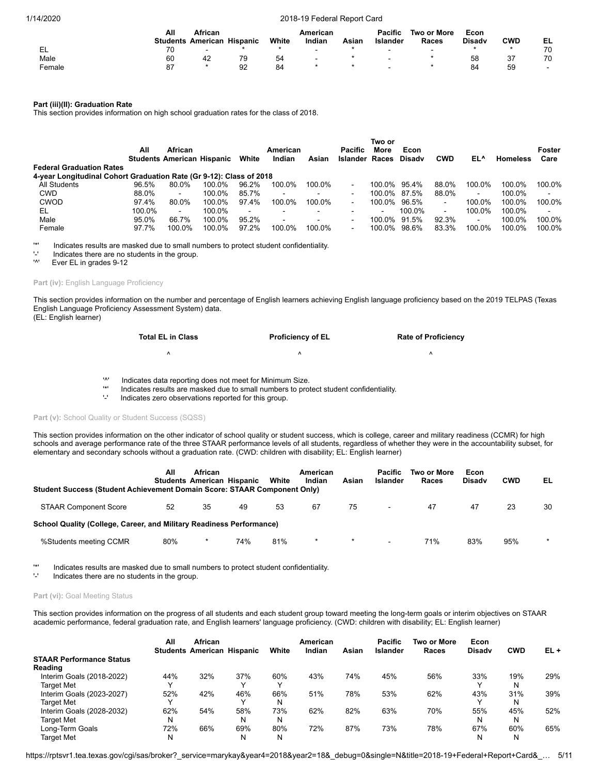|        | All | African                  |          |       | American                 |       | <b>Pacific</b>           | Two or More              | Econ          |     |                          |
|--------|-----|--------------------------|----------|-------|--------------------------|-------|--------------------------|--------------------------|---------------|-----|--------------------------|
|        |     | <b>Students American</b> | Hispanic | White | Indian                   | Asiar | Islander                 | Races                    | <b>Disady</b> | CWD | EL                       |
| - EL   |     | $\sim$                   |          |       | $\overline{\phantom{a}}$ |       | -                        | $\overline{\phantom{a}}$ |               |     | 70                       |
| Male   | 60  | 42                       | 79       | 54    | $\overline{\phantom{0}}$ |       | $\overline{\phantom{0}}$ |                          | 58            | 37  | 70                       |
| Female | -87 |                          | 92       | 84    |                          |       | -                        |                          | 84            | 59  | $\overline{\phantom{a}}$ |

### **Part (iii)(II): Graduation Rate**

This section provides information on high school graduation rates for the class of 2018.

|                                                                     |        |                                   |        |                |          |                          |                       | Two or         |               |                |                |                 |                |
|---------------------------------------------------------------------|--------|-----------------------------------|--------|----------------|----------|--------------------------|-----------------------|----------------|---------------|----------------|----------------|-----------------|----------------|
|                                                                     | All    | African                           |        |                | American |                          | Pacific               | More           | Econ          |                |                |                 | Foster         |
|                                                                     |        | <b>Students American Hispanic</b> |        | White          | Indian   | Asian                    | <b>Islander Races</b> |                | <b>Disady</b> | <b>CWD</b>     | EL^            | <b>Homeless</b> | Care           |
| <b>Federal Graduation Rates</b>                                     |        |                                   |        |                |          |                          |                       |                |               |                |                |                 |                |
| 4-year Longitudinal Cohort Graduation Rate (Gr 9-12): Class of 2018 |        |                                   |        |                |          |                          |                       |                |               |                |                |                 |                |
| All Students                                                        | 96.5%  | 80.0%                             | 100.0% | 96.2%          | 100.0%   | 100.0%                   |                       | 100.0%         | 95.4%         | 88.0%          | 100.0%         | 100.0%          | 100.0%         |
| <b>CWD</b>                                                          | 88.0%  | $\sim$                            | 100.0% | 85.7%          |          | $\overline{\phantom{0}}$ | -                     | 100.0%         | 87.5%         | 88.0%          | $\blacksquare$ | 100.0%          | $\blacksquare$ |
| CWOD                                                                | 97.4%  | 80.0%                             | 100.0% | 97.4%          | 100.0%   | 100.0%                   | $\blacksquare$        | 100.0%         | 96.5%         | $\blacksquare$ | 100.0%         | 100.0%          | 100.0%         |
| EL                                                                  | 100.0% | $\sim$                            | 100.0% | $\blacksquare$ |          | $\overline{\phantom{0}}$ |                       | $\blacksquare$ | 100.0%        | $\sim$         | 100.0%         | 100.0%          | $\blacksquare$ |
| Male                                                                | 95.0%  | 66.7%                             | 100.0% | 95.2%          | $\sim$   | $\overline{\phantom{0}}$ |                       | 100.0%         | 91.5%         | 92.3%          | $\blacksquare$ | 100.0%          | 100.0%         |
| Female                                                              | 97.7%  | 100.0%                            | 100.0% | 97.2%          | 100.0%   | 100.0%                   | $\blacksquare$        | 100.0%         | 98.6%         | 83.3%          | 100.0%         | 100.0%          | 100.0%         |

'\*' Indicates results are masked due to small numbers to protect student confidentiality.

 $'$ -' Indicates there are no students in the group.<br> $'$ <sup>1</sup>

Ever EL in grades 9-12

#### Part (iv): English Language Proficiency

This section provides information on the number and percentage of English learners achieving English language proficiency based on the 2019 TELPAS (Texas English Language Proficiency Assessment System) data. (EL: English learner)

| <b>Total EL in Class</b> | <b>Proficiency of EL</b> | <b>Rate of Proficiency</b> |
|--------------------------|--------------------------|----------------------------|
|                          |                          |                            |

'<sup>\*</sup>' Indicates data reporting does not meet for Minimum Size.<br>
Indicates results are masked due to small numbers to prot

'\*' Indicates results are masked due to small numbers to protect student confidentiality.

Indicates zero observations reported for this group.

### Part (v): School Quality or Student Success (SQSS)

This section provides information on the other indicator of school quality or student success, which is college, career and military readiness (CCMR) for high schools and average performance rate of the three STAAR performance levels of all students, regardless of whether they were in the accountability subset, for elementary and secondary schools without a graduation rate. (CWD: children with disability; EL: English learner)

| Student Success (Student Achievement Domain Score: STAAR Component Only) | All | <b>African</b><br><b>Students American Hispanic</b> |     | White | American<br>Indian | Asian   | <b>Pacific</b><br>Islander | Two or More<br>Races | Econ<br><b>Disady</b> | <b>CWD</b> | EL      |
|--------------------------------------------------------------------------|-----|-----------------------------------------------------|-----|-------|--------------------|---------|----------------------------|----------------------|-----------------------|------------|---------|
| <b>STAAR Component Score</b>                                             | 52  | 35                                                  | 49  | 53    | 67                 | 75      |                            | 47                   | 47                    | 23         | 30      |
| School Quality (College, Career, and Military Readiness Performance)     |     |                                                     |     |       |                    |         |                            |                      |                       |            |         |
| %Students meeting CCMR                                                   | 80% |                                                     | 74% | 81%   | $\ast$             | $\star$ |                            | 71%                  | 83%                   | 95%        | $\star$ |

'\*' Indicates results are masked due to small numbers to protect student confidentiality.

Indicates there are no students in the group.

### Part (vi): Goal Meeting Status

This section provides information on the progress of all students and each student group toward meeting the long-term goals or interim objectives on STAAR academic performance, federal graduation rate, and English learners' language proficiency. (CWD: children with disability; EL: English learner)

|                                 | All | African<br><b>Students American Hispanic</b> |              | White        | American<br>Indian | Asian | <b>Pacific</b><br><b>Islander</b> | Two or More<br>Races | Econ<br><b>Disady</b> | <b>CWD</b> | $EL +$ |
|---------------------------------|-----|----------------------------------------------|--------------|--------------|--------------------|-------|-----------------------------------|----------------------|-----------------------|------------|--------|
| <b>STAAR Performance Status</b> |     |                                              |              |              |                    |       |                                   |                      |                       |            |        |
| Reading                         |     |                                              |              |              |                    |       |                                   |                      |                       |            |        |
| Interim Goals (2018-2022)       | 44% | 32%                                          | 37%          | 60%          | 43%                | 74%   | 45%                               | 56%                  | 33%                   | 19%        | 29%    |
| Target Met                      |     |                                              |              | $\checkmark$ |                    |       |                                   |                      |                       | N          |        |
| Interim Goals (2023-2027)       | 52% | 42%                                          | 46%          | 66%          | 51%                | 78%   | 53%                               | 62%                  | 43%                   | 31%        | 39%    |
| Target Met                      |     |                                              | $\checkmark$ | N            |                    |       |                                   |                      |                       | N          |        |
| Interim Goals (2028-2032)       | 62% | 54%                                          | 58%          | 73%          | 62%                | 82%   | 63%                               | 70%                  | 55%                   | 45%        | 52%    |
| <b>Target Met</b>               | N   |                                              | N            | N            |                    |       |                                   |                      | N                     | N          |        |
| Long-Term Goals                 | 72% | 66%                                          | 69%          | 80%          | 72%                | 87%   | 73%                               | 78%                  | 67%                   | 60%        | 65%    |
| Target Met                      | N   |                                              | N            | N            |                    |       |                                   |                      |                       | N          |        |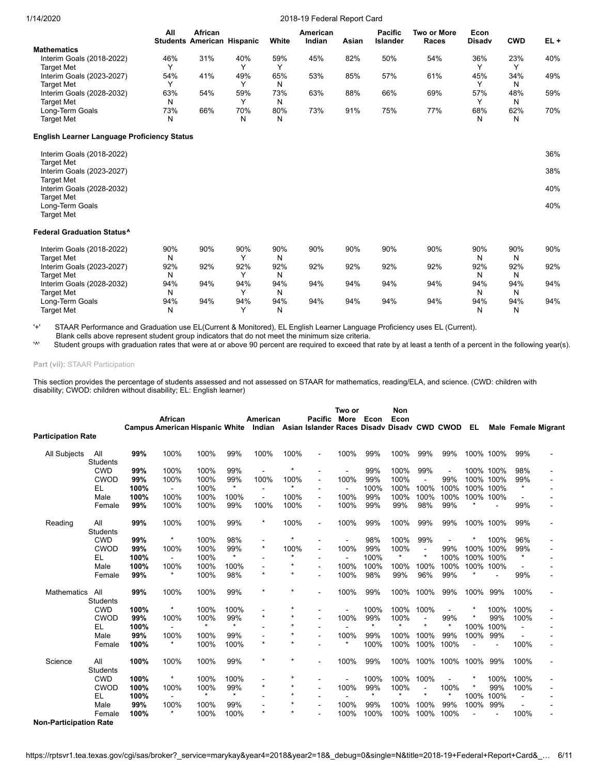| 1/14/2020                                                 |          |                                              |          |          | 2018-19 Federal Report Card |       |                            |                                    |                       |            |        |
|-----------------------------------------------------------|----------|----------------------------------------------|----------|----------|-----------------------------|-------|----------------------------|------------------------------------|-----------------------|------------|--------|
|                                                           | All      | African<br><b>Students American Hispanic</b> |          | White    | American<br>Indian          | Asian | <b>Pacific</b><br>Islander | <b>Two or More</b><br><b>Races</b> | Econ<br><b>Disady</b> | <b>CWD</b> | $EL +$ |
| <b>Mathematics</b>                                        |          |                                              |          |          |                             |       |                            |                                    |                       |            |        |
| Interim Goals (2018-2022)<br><b>Target Met</b>            | 46%<br>Y | 31%                                          | 40%<br>Y | 59%<br>Υ | 45%                         | 82%   | 50%                        | 54%                                | 36%<br>Υ              | 23%<br>Y   | 40%    |
| Interim Goals (2023-2027)<br><b>Target Met</b>            | 54%<br>Y | 41%                                          | 49%<br>Υ | 65%<br>N | 53%                         | 85%   | 57%                        | 61%                                | 45%<br>Y              | 34%<br>N   | 49%    |
| Interim Goals (2028-2032)<br><b>Target Met</b>            | 63%<br>N | 54%                                          | 59%<br>Υ | 73%<br>N | 63%                         | 88%   | 66%                        | 69%                                | 57%<br>Υ              | 48%<br>N   | 59%    |
| Long-Term Goals<br><b>Target Met</b>                      | 73%<br>N | 66%                                          | 70%<br>Ν | 80%<br>N | 73%                         | 91%   | 75%                        | 77%                                | 68%<br>N              | 62%<br>N   | 70%    |
| <b>English Learner Language Proficiency Status</b>        |          |                                              |          |          |                             |       |                            |                                    |                       |            |        |
| Interim Goals (2018-2022)                                 |          |                                              |          |          |                             |       |                            |                                    |                       |            | 36%    |
| <b>Target Met</b><br>Interim Goals (2023-2027)            |          |                                              |          |          |                             |       |                            |                                    |                       |            | 38%    |
| <b>Target Met</b><br>Interim Goals (2028-2032)            |          |                                              |          |          |                             |       |                            |                                    |                       |            | 40%    |
| <b>Target Met</b><br>Long-Term Goals<br><b>Target Met</b> |          |                                              |          |          |                             |       |                            |                                    |                       |            | 40%    |
| <b>Federal Graduation Status^</b>                         |          |                                              |          |          |                             |       |                            |                                    |                       |            |        |
| Interim Goals (2018-2022)<br><b>Target Met</b>            | 90%<br>N | 90%                                          | 90%<br>Υ | 90%<br>N | 90%                         | 90%   | 90%                        | 90%                                | 90%<br>N              | 90%<br>N   | 90%    |
| Interim Goals (2023-2027)<br><b>Target Met</b>            | 92%<br>N | 92%                                          | 92%<br>Υ | 92%<br>N | 92%                         | 92%   | 92%                        | 92%                                | 92%<br>N              | 92%<br>N   | 92%    |
| Interim Goals (2028-2032)<br><b>Target Met</b>            | 94%<br>N | 94%                                          | 94%<br>Υ | 94%<br>N | 94%                         | 94%   | 94%                        | 94%                                | 94%<br>N              | 94%<br>N   | 94%    |
| Long-Term Goals<br><b>Target Met</b>                      | 94%<br>N | 94%                                          | 94%<br>Υ | 94%<br>N | 94%                         | 94%   | 94%                        | 94%                                | 94%<br>N              | 94%<br>N   | 94%    |

'+' STAAR Performance and Graduation use EL(Current & Monitored), EL English Learner Language Proficiency uses EL (Current).

Target Met N Y N N N

Blank cells above represent student group indicators that do not meet the minimum size criteria.<br><sup>V</sup> Student groups with graduation rates that were at or above 90 percent are required to exceed the Student groups with graduation rates that were at or above 90 percent are required to exceed that rate by at least a tenth of a percent in the following year(s).

**Part (vii):** STAAR Participation

This section provides the percentage of students assessed and not assessed on STAAR for mathematics, reading/ELA, and science. (CWD: children with disability; CWOD: children without disability; EL: English learner)

|                               |                        |      |                |                                       |         |                |         | Two or                                             |                          | Non     |         |                |         |           |           |                |                            |
|-------------------------------|------------------------|------|----------------|---------------------------------------|---------|----------------|---------|----------------------------------------------------|--------------------------|---------|---------|----------------|---------|-----------|-----------|----------------|----------------------------|
|                               |                        |      | African        |                                       |         | American       |         | <b>Pacific</b>                                     | More                     | Econ    | Econ    |                |         |           |           |                |                            |
|                               |                        |      |                | <b>Campus American Hispanic White</b> |         |                |         | Indian Asian Islander Races Disady Disady CWD CWOD |                          |         |         |                |         | EL        |           |                | <b>Male Female Migrant</b> |
| <b>Participation Rate</b>     |                        |      |                |                                       |         |                |         |                                                    |                          |         |         |                |         |           |           |                |                            |
| <b>All Subjects</b>           | All<br><b>Students</b> | 99%  | 100%           | 100%                                  | 99%     | 100%           | 100%    | ä,                                                 | 100%                     | 99%     | 100%    | 99%            | 99%     |           | 100% 100% | 99%            |                            |
|                               | <b>CWD</b>             | 99%  | 100%           | 100%                                  | 99%     |                |         | $\blacksquare$                                     | $\blacksquare$           | 99%     | 100%    | 99%            |         |           | 100% 100% | 98%            |                            |
|                               | <b>CWOD</b>            | 99%  | 100%           | 100%                                  | 99%     | 100%           | 100%    | $\overline{\phantom{a}}$                           | 100%                     | 99%     | 100%    |                | 99%     |           | 100% 100% | 99%            |                            |
|                               | EL                     | 100% | $\blacksquare$ | 100%                                  | $\star$ |                | $\star$ | $\blacksquare$                                     | $\blacksquare$           | 100%    | 100%    | 100%           | 100%    |           | 100% 100% | $\star$        |                            |
|                               | Male                   | 100% | 100%           | 100%                                  | 100%    | $\blacksquare$ | 100%    | $\blacksquare$                                     | 100%                     | 99%     | 100%    | 100%           | 100%    |           | 100% 100% |                |                            |
|                               | Female                 | 99%  | 100%           | 100%                                  | 99%     | 100%           | 100%    | ٠                                                  | 100%                     | 99%     | 99%     | 98%            | 99%     |           |           | 99%            |                            |
| Reading                       | All                    | 99%  | 100%           | 100%                                  | 99%     | $\star$        | 100%    | $\blacksquare$                                     | 100%                     | 99%     | 100%    | 99%            | 99%     |           | 100% 100% | 99%            |                            |
|                               | <b>Students</b>        |      |                |                                       |         |                |         |                                                    |                          |         |         |                |         |           |           |                |                            |
|                               | <b>CWD</b>             | 99%  | $\star$        | 100%                                  | 98%     |                |         |                                                    | $\blacksquare$           | 98%     | 100%    | 99%            |         |           | 100%      | 96%            |                            |
|                               | <b>CWOD</b>            | 99%  | 100%           | 100%                                  | 99%     | $\star$        | 100%    | $\blacksquare$                                     | 100%                     | 99%     | 100%    | $\blacksquare$ | 99%     |           | 100% 100% | 99%            |                            |
|                               | EL                     | 100% | $\blacksquare$ | 100%                                  |         |                | $\star$ |                                                    | $\overline{\phantom{a}}$ | 100%    | $\star$ | $\star$        | 100%    | 100% 100% |           | $\star$        |                            |
|                               | Male                   | 100% | 100%           | 100%                                  | 100%    |                | $\star$ |                                                    | 100%                     | 100%    | 100%    | 100%           | 100%    | 100% 100% |           |                |                            |
|                               | Female                 | 99%  | $\star$        | 100%                                  | 98%     | $\star$        | $\star$ |                                                    | 100%                     | 98%     | 99%     | 96%            | 99%     |           |           | 99%            |                            |
| <b>Mathematics</b>            | All                    | 99%  | 100%           | 100%                                  | 99%     | $\star$        | $\star$ |                                                    | 100%                     | 99%     | 100%    | 100%           | 99%     | 100%      | 99%       | 100%           |                            |
|                               | <b>Students</b>        |      |                |                                       |         |                |         |                                                    |                          |         |         |                |         |           |           |                |                            |
|                               | <b>CWD</b>             | 100% | $\star$        | 100%                                  | 100%    |                |         |                                                    |                          | 100%    | 100%    | 100%           |         |           | 100%      | 100%           |                            |
|                               | <b>CWOD</b>            | 99%  | 100%           | 100%                                  | 99%     | $\star$        | $\star$ |                                                    | 100%                     | 99%     | 100%    | $\blacksquare$ | 99%     |           | 99%       | 100%           |                            |
|                               | EL                     | 100% |                | $\star$                               | $\star$ |                | $\star$ |                                                    |                          | $\star$ | $\star$ | $\star$        | $\star$ | 100%      | 100%      |                |                            |
|                               | Male                   | 99%  | 100%           | 100%                                  | 99%     |                | $\star$ |                                                    | 100%                     | 99%     | 100%    | 100%           | 99%     | 100%      | 99%       |                |                            |
|                               | Female                 | 100% |                | 100%                                  | 100%    | $\star$        | $\star$ |                                                    |                          | 100%    | 100%    | 100%           | 100%    |           |           | 100%           |                            |
| Science                       | All                    | 100% | 100%           | 100%                                  | 99%     | $\star$        |         |                                                    | 100%                     | 99%     | 100%    | 100%           | 100%    | 100%      | 99%       | 100%           |                            |
|                               | <b>Students</b>        |      |                |                                       |         |                |         |                                                    |                          |         |         |                |         |           |           |                |                            |
|                               | <b>CWD</b>             | 100% | $\star$        | 100%                                  | 100%    |                | $\star$ |                                                    |                          | 100%    | 100%    | 100%           |         |           | 100%      | 100%           |                            |
|                               | <b>CWOD</b>            | 100% | 100%           | 100%                                  | 99%     | $\star$        | $\star$ | ÷,                                                 | 100%                     | 99%     | 100%    | $\blacksquare$ | 100%    |           | 99%       | 100%           |                            |
|                               | EL                     | 100% |                | $\ddot{\Phi}$                         | $\star$ |                | $\star$ | $\blacksquare$                                     |                          | $\star$ | ÷       | $\star$        | $\star$ | 100%      | 100%      | $\overline{a}$ |                            |
|                               | Male                   | 99%  | 100%           | 100%                                  | 99%     |                | $\star$ | $\blacksquare$                                     | 100%                     | 99%     | 100%    | 100%           | 99%     | 100%      | 99%       |                |                            |
|                               | Female                 | 100% |                | 100%                                  | 100%    | $\star$        | $\star$ |                                                    | 100%                     | 100%    | 100%    | 100%           | 100%    |           |           | 100%           |                            |
| <b>Non-Participation Rate</b> |                        |      |                |                                       |         |                |         |                                                    |                          |         |         |                |         |           |           |                |                            |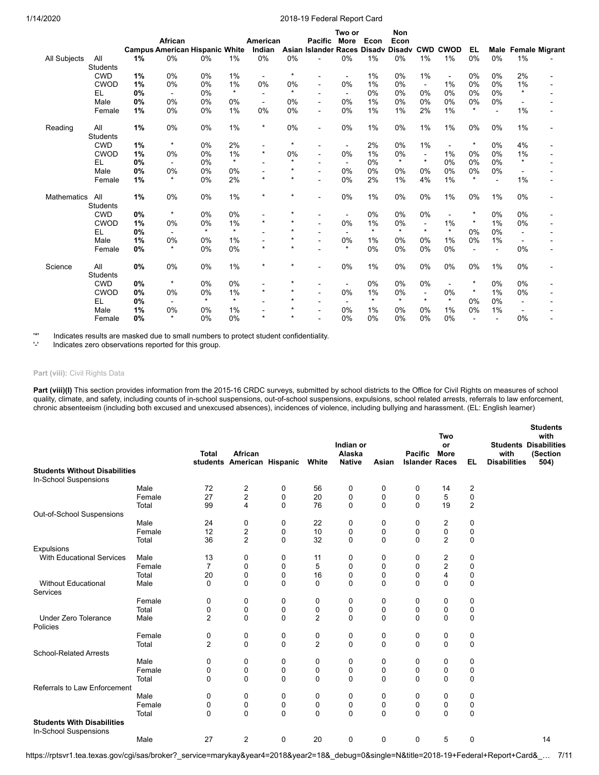|                    |                 |    | African                                     |         |         | American<br>Indian             |         | Pacific<br>Asian Islander Races Disadv | Two or<br>More       | Econ    | Non<br>Econ<br><b>Disady</b> |                          | <b>CWD CWOD</b> | EL      |                |                | <b>Male Female Migrant</b> |
|--------------------|-----------------|----|---------------------------------------------|---------|---------|--------------------------------|---------|----------------------------------------|----------------------|---------|------------------------------|--------------------------|-----------------|---------|----------------|----------------|----------------------------|
|                    | All             | 1% | <b>Campus American Hispanic White</b><br>0% | 0%      | 1%      | 0%                             | 0%      |                                        | 0%                   | 1%      | 0%                           | 1%                       | 1%              | 0%      | 0%             | 1%             |                            |
| All Subjects       | <b>Students</b> |    |                                             |         |         |                                |         |                                        |                      |         |                              |                          |                 |         |                |                |                            |
|                    | <b>CWD</b>      | 1% | 0%                                          | 0%      | 1%      |                                | $\star$ | $\blacksquare$                         |                      | 1%      | 0%                           | 1%                       | $\blacksquare$  | 0%      | 0%             | 2%             |                            |
|                    | <b>CWOD</b>     | 1% | 0%                                          | 0%      | 1%      | $\overline{\phantom{a}}$<br>0% | 0%      | $\blacksquare$                         | $\blacksquare$<br>0% | 1%      | 0%                           | $\sim$                   | 1%              | 0%      | 0%             | 1%             |                            |
|                    | <b>EL</b>       | 0% | $\blacksquare$                              | 0%      | $\star$ | $\overline{\phantom{a}}$       | $\star$ | $\blacksquare$                         | $\blacksquare$       | 0%      | 0%                           | 0%                       | 0%              | 0%      | 0%             | $\star$        |                            |
|                    | Male            | 0% | 0%                                          | 0%      | 0%      | $\blacksquare$                 | 0%      |                                        | 0%                   | 1%      | 0%                           | 0%                       | 0%              | 0%      | 0%             |                |                            |
|                    | Female          | 1% | 0%                                          | 0%      | 1%      | 0%                             | 0%      | $\blacksquare$                         | 0%                   | 1%      | 1%                           | 2%                       | 1%              | $\star$ | $\blacksquare$ | 1%             |                            |
|                    |                 |    |                                             |         |         |                                |         |                                        |                      |         |                              |                          |                 |         |                |                |                            |
| Reading            | All             | 1% | 0%                                          | 0%      | 1%      | $\star$                        | 0%      | $\sim$                                 | 0%                   | 1%      | 0%                           | 1%                       | 1%              | 0%      | 0%             | 1%             |                            |
|                    | <b>Students</b> |    |                                             |         |         |                                |         |                                        |                      |         |                              |                          |                 |         |                |                |                            |
|                    | CWD             | 1% | $\star$                                     | 0%      | 2%      |                                | $\star$ |                                        | $\blacksquare$       | 2%      | 0%                           | $1\%$                    | $\blacksquare$  | $\star$ | 0%             | 4%             |                            |
|                    | <b>CWOD</b>     | 1% | 0%                                          | 0%      | 1%      | $\star$                        | 0%      | $\blacksquare$                         | 0%                   | 1%      | 0%                           | $\blacksquare$           | 1%              | 0%      | 0%             | 1%             |                            |
|                    | EL              | 0% |                                             | 0%      | $\star$ |                                | $\star$ |                                        | ۰                    | 0%      | $\star$                      | $\star$                  | 0%              | 0%      | 0%             | $\star$        |                            |
|                    | Male            | 0% | 0%                                          | 0%      | 0%      |                                | $\star$ |                                        | 0%                   | 0%      | 0%                           | 0%                       | 0%              | 0%      | 0%             |                |                            |
|                    | Female          | 1% | $\star$                                     | 0%      | 2%      | $\star$                        | $\star$ |                                        | 0%                   | 2%      | 1%                           | 4%                       | 1%              | $\star$ | $\overline{a}$ | 1%             |                            |
| <b>Mathematics</b> | All             | 1% | 0%                                          | 0%      | 1%      | $\star$                        | $\star$ | $\sim$                                 | 0%                   | 1%      | 0%                           | 0%                       | 1%              | 0%      | 1%             | 0%             |                            |
|                    | <b>Students</b> |    |                                             |         |         |                                |         |                                        |                      |         |                              |                          |                 |         |                |                |                            |
|                    | <b>CWD</b>      | 0% | $\star$                                     | 0%      | 0%      |                                | $\star$ |                                        | $\blacksquare$       | 0%      | 0%                           | 0%                       | $\blacksquare$  | $\star$ | 0%             | 0%             |                            |
|                    | CWOD            | 1% | 0%                                          | 0%      | 1%      | $\star$                        | $\star$ |                                        | 0%                   | 1%      | 0%                           | $\overline{\phantom{a}}$ | 1%              | $\star$ | 1%             | 0%             |                            |
|                    | <b>EL</b>       | 0% |                                             | $\star$ | $\star$ |                                | $\star$ |                                        | $\blacksquare$       | $\star$ | $\star$                      | $\star$                  | $\star$         | 0%      | 0%             |                |                            |
|                    | Male            | 1% | 0%                                          | 0%      | 1%      |                                | $\star$ |                                        | 0%                   | 1%      | 0%                           | 0%                       | 1%              | 0%      | 1%             | $\blacksquare$ |                            |
|                    | Female          | 0% | $\star$                                     | 0%      | 0%      | $\star$                        | $\star$ |                                        | $\star$              | 0%      | 0%                           | 0%                       | 0%              | $\sim$  | $\blacksquare$ | 0%             |                            |
| Science            | All             | 0% | 0%                                          | 0%      | 1%      | $\star$                        | $\star$ |                                        | 0%                   | 1%      | 0%                           | $0\%$                    | 0%              | 0%      | 1%             | 0%             |                            |
|                    | <b>Students</b> |    |                                             |         |         |                                |         |                                        |                      |         |                              |                          |                 |         |                |                |                            |
|                    | CWD             | 0% | $\star$                                     | 0%      | 0%      | $\overline{a}$                 | $\star$ | $\overline{\phantom{a}}$               | $\sim$               | 0%      | 0%                           | 0%                       | $\blacksquare$  | $\star$ | 0%             | 0%             | ٠                          |
|                    | <b>CWOD</b>     | 0% | 0%                                          | 0%      | 1%      | $\star$                        | $\star$ |                                        | 0%                   | 1%      | 0%                           | $\blacksquare$           | 0%              | $\star$ | 1%             | 0%             |                            |
|                    | EL              | 0% |                                             | $\star$ | $\star$ |                                | $\star$ |                                        | $\blacksquare$       | $\star$ | $\star$                      | $\star$                  | $\star$         | 0%      | 0%             |                |                            |
|                    | Male            | 1% | 0%                                          | 0%      | 1%      |                                | $\star$ |                                        | 0%                   | 1%      | 0%                           | 0%                       | 1%              | 0%      | 1%             | $\overline{a}$ |                            |
|                    | Female          | 0% | $\star$                                     | 0%      | 0%      | $\star$                        | $\star$ |                                        | 0%                   | 0%      | 0%                           | 0%                       | 0%              |         |                | 0%             |                            |

'\*' Indicates results are masked due to small numbers to protect student confidentiality.

Indicates zero observations reported for this group.

### Part (viii): Civil Rights Data

Part (viii)(I) This section provides information from the 2015-16 CRDC surveys, submitted by school districts to the Office for Civil Rights on measures of school quality, climate, and safety, including counts of in-school suspensions, out-of-school suspensions, expulsions, school related arrests, referrals to law enforcement, chronic absenteeism (including both excused and unexcused absences), incidences of violence, including bullying and harassment. (EL: English learner)

|                                                            |        | <b>Total</b>   | African<br>students American Hispanic |             | White          | Indian or<br>Alaska<br><b>Native</b> | Asian    | <b>Pacific</b><br><b>Islander Races</b> | Two<br>or<br><b>More</b> | EL.         | <b>Students Disabilities</b><br>with<br><b>Disabilities</b> | <b>Students</b><br>with<br>(Section<br>504) |
|------------------------------------------------------------|--------|----------------|---------------------------------------|-------------|----------------|--------------------------------------|----------|-----------------------------------------|--------------------------|-------------|-------------------------------------------------------------|---------------------------------------------|
| <b>Students Without Disabilities</b>                       |        |                |                                       |             |                |                                      |          |                                         |                          |             |                                                             |                                             |
| In-School Suspensions                                      |        |                |                                       |             |                |                                      |          |                                         |                          |             |                                                             |                                             |
|                                                            | Male   | 72             | $\overline{c}$                        | 0           | 56             | $\mathbf 0$                          | 0        | 0                                       | 14                       | 2           |                                                             |                                             |
|                                                            | Female | 27             | $\overline{2}$                        | 0           | 20             | 0                                    | 0        | 0                                       | 5                        | 0           |                                                             |                                             |
|                                                            | Total  | 99             | 4                                     | $\mathbf 0$ | 76             | $\mathbf 0$                          | $\Omega$ | $\Omega$                                | 19                       | 2           |                                                             |                                             |
| Out-of-School Suspensions                                  |        |                |                                       |             |                |                                      |          |                                         |                          |             |                                                             |                                             |
|                                                            | Male   | 24             | 0                                     | 0           | 22             | 0                                    | 0        | 0                                       | 2                        | 0           |                                                             |                                             |
|                                                            | Female | 12             | $\overline{\mathbf{c}}$               | 0           | 10             | 0                                    | 0        | 0                                       | $\pmb{0}$                | 0           |                                                             |                                             |
|                                                            | Total  | 36             | $\overline{2}$                        | $\Omega$    | 32             | $\mathbf 0$                          | $\Omega$ | $\mathbf{0}$                            | $\overline{2}$           | $\mathbf 0$ |                                                             |                                             |
| Expulsions                                                 |        |                |                                       |             |                |                                      |          |                                         |                          |             |                                                             |                                             |
| <b>With Educational Services</b>                           | Male   | 13             | 0                                     | 0           | 11             | 0                                    | 0        | 0                                       | 2                        | 0           |                                                             |                                             |
|                                                            | Female | $\overline{7}$ | 0                                     | 0           | 5              | 0                                    | 0        | 0                                       | $\boldsymbol{2}$         | 0           |                                                             |                                             |
|                                                            | Total  | 20             | 0                                     | 0           | 16             | 0                                    | $\Omega$ | 0                                       | 4                        | 0           |                                                             |                                             |
| <b>Without Educational</b><br>Services                     | Male   | $\Omega$       | $\mathbf 0$                           | 0           | $\mathbf 0$    | $\mathbf 0$                          | $\Omega$ | $\Omega$                                | $\Omega$                 | $\mathbf 0$ |                                                             |                                             |
|                                                            | Female | $\mathbf 0$    | 0                                     | 0           | 0              | 0                                    | 0        | 0                                       | 0                        | 0           |                                                             |                                             |
|                                                            | Total  | $\mathbf 0$    | 0                                     | 0           | $\pmb{0}$      | 0                                    | 0        | $\mathbf 0$                             | 0                        | 0           |                                                             |                                             |
| <b>Under Zero Tolerance</b><br>Policies                    | Male   | $\overline{2}$ | $\mathbf 0$                           | $\Omega$    | $\overline{2}$ | $\mathbf 0$                          | $\Omega$ | $\Omega$                                | $\Omega$                 | $\mathbf 0$ |                                                             |                                             |
|                                                            | Female | 0              | 0                                     | 0           | 0              | 0                                    | 0        | 0                                       | 0                        | 0           |                                                             |                                             |
|                                                            | Total  | $\overline{2}$ | $\Omega$                              | $\Omega$    | $\overline{2}$ | $\mathbf 0$                          | $\Omega$ | $\Omega$                                | $\Omega$                 | $\mathbf 0$ |                                                             |                                             |
| <b>School-Related Arrests</b>                              |        |                |                                       |             |                |                                      |          |                                         |                          |             |                                                             |                                             |
|                                                            | Male   | 0              | 0                                     | 0           | 0              | 0                                    | 0        | 0                                       | 0                        | 0           |                                                             |                                             |
|                                                            | Female | 0              | 0                                     | 0           | 0              | 0                                    | 0        | 0                                       | 0                        | 0           |                                                             |                                             |
|                                                            | Total  | $\Omega$       | $\mathbf 0$                           | $\Omega$    | 0              | $\mathbf 0$                          | $\Omega$ | $\Omega$                                | $\Omega$                 | $\mathbf 0$ |                                                             |                                             |
| Referrals to Law Enforcement                               |        |                |                                       |             |                |                                      |          |                                         |                          |             |                                                             |                                             |
|                                                            | Male   | 0              | 0                                     | 0           | 0              | 0                                    | 0        | 0                                       | 0                        | 0           |                                                             |                                             |
|                                                            | Female | $\mathbf 0$    | 0                                     | 0           | 0              | 0                                    | 0        | 0                                       | 0                        | 0           |                                                             |                                             |
|                                                            | Total  | $\Omega$       | $\Omega$                              | $\Omega$    | $\Omega$       | $\Omega$                             | $\Omega$ | $\Omega$                                | $\Omega$                 | $\mathbf 0$ |                                                             |                                             |
| <b>Students With Disabilities</b><br>In-School Suspensions |        |                |                                       |             |                |                                      |          |                                         |                          |             |                                                             |                                             |
|                                                            | Male   | 27             | $\overline{2}$                        | $\mathbf 0$ | 20             | $\mathbf 0$                          | 0        | 0                                       | 5                        | 0           |                                                             | 14                                          |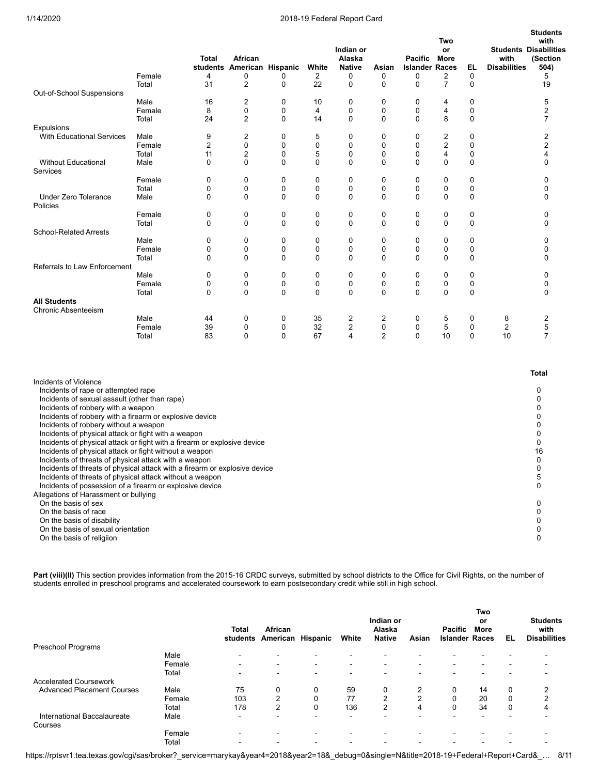|                                                                                                                                                                                                                                                                                                                                                                                                                                                                                                                                                                                                                                                                                                                                                                                                                                                                                                              | Female<br>Total | <b>Total</b><br>4<br>31 | African<br>students American Hispanic<br>0<br>$\overline{c}$ | 0<br>$\mathbf 0$ | White<br>2<br>22 | Indian or<br>Alaska<br><b>Native</b><br>0<br>$\mathbf 0$ | Asian<br>0<br>0     | Pacific<br><b>Islander Races</b><br>0<br>$\mathbf 0$ | Two<br>or<br>More<br>2<br>$\overline{7}$ | EL<br>0<br>$\mathbf 0$ | with<br><b>Disabilities</b> | <b>Students</b><br>with<br><b>Students Disabilities</b><br>(Section<br>504)<br>5<br>19 |
|--------------------------------------------------------------------------------------------------------------------------------------------------------------------------------------------------------------------------------------------------------------------------------------------------------------------------------------------------------------------------------------------------------------------------------------------------------------------------------------------------------------------------------------------------------------------------------------------------------------------------------------------------------------------------------------------------------------------------------------------------------------------------------------------------------------------------------------------------------------------------------------------------------------|-----------------|-------------------------|--------------------------------------------------------------|------------------|------------------|----------------------------------------------------------|---------------------|------------------------------------------------------|------------------------------------------|------------------------|-----------------------------|----------------------------------------------------------------------------------------|
| Out-of-School Suspensions                                                                                                                                                                                                                                                                                                                                                                                                                                                                                                                                                                                                                                                                                                                                                                                                                                                                                    |                 |                         |                                                              |                  |                  |                                                          |                     |                                                      |                                          |                        |                             |                                                                                        |
|                                                                                                                                                                                                                                                                                                                                                                                                                                                                                                                                                                                                                                                                                                                                                                                                                                                                                                              | Male            | 16                      | 2                                                            | 0                | 10               | 0                                                        | 0                   | 0                                                    | 4                                        | 0                      |                             | 5                                                                                      |
|                                                                                                                                                                                                                                                                                                                                                                                                                                                                                                                                                                                                                                                                                                                                                                                                                                                                                                              | Female<br>Total | 8<br>24                 | 0<br>2                                                       | 0<br>0           | 4<br>14          | 0<br>0                                                   | 0<br>$\Omega$       | 0<br>0                                               | 4<br>8                                   | 0<br>0                 |                             | 2<br>7                                                                                 |
| Expulsions                                                                                                                                                                                                                                                                                                                                                                                                                                                                                                                                                                                                                                                                                                                                                                                                                                                                                                   |                 |                         |                                                              |                  |                  |                                                          |                     |                                                      |                                          |                        |                             |                                                                                        |
| <b>With Educational Services</b>                                                                                                                                                                                                                                                                                                                                                                                                                                                                                                                                                                                                                                                                                                                                                                                                                                                                             | Male            | 9                       | 2                                                            | 0                | 5                | 0                                                        | 0                   | 0                                                    | 2                                        | 0                      |                             | $\overline{\mathbf{c}}$                                                                |
|                                                                                                                                                                                                                                                                                                                                                                                                                                                                                                                                                                                                                                                                                                                                                                                                                                                                                                              | Female          | 2                       | 0                                                            | $\mathbf 0$      | 0                | $\mathbf 0$                                              | 0                   | 0                                                    | $\overline{c}$                           | 0                      |                             | 2                                                                                      |
|                                                                                                                                                                                                                                                                                                                                                                                                                                                                                                                                                                                                                                                                                                                                                                                                                                                                                                              | Total           | 11                      | $\overline{2}$                                               | 0                | 5                | 0                                                        | 0                   | 0                                                    | $\overline{4}$                           | 0                      |                             | 4                                                                                      |
| <b>Without Educational</b><br>Services                                                                                                                                                                                                                                                                                                                                                                                                                                                                                                                                                                                                                                                                                                                                                                                                                                                                       | Male            | 0                       | 0                                                            | $\mathbf 0$      | $\mathbf 0$      | 0                                                        | 0                   | $\mathbf 0$                                          | 0                                        | 0                      |                             | 0                                                                                      |
|                                                                                                                                                                                                                                                                                                                                                                                                                                                                                                                                                                                                                                                                                                                                                                                                                                                                                                              | Female          | 0                       | 0                                                            | 0                | 0                | 0                                                        | 0                   | 0                                                    | 0                                        | 0                      |                             | 0                                                                                      |
|                                                                                                                                                                                                                                                                                                                                                                                                                                                                                                                                                                                                                                                                                                                                                                                                                                                                                                              | Total           | 0                       | 0                                                            | 0                | 0                | 0                                                        | 0                   | 0                                                    | 0                                        | 0                      |                             | 0                                                                                      |
| <b>Under Zero Tolerance</b><br>Policies                                                                                                                                                                                                                                                                                                                                                                                                                                                                                                                                                                                                                                                                                                                                                                                                                                                                      | Male            | 0                       | 0                                                            | 0                | 0                | 0                                                        | 0                   | 0                                                    | 0                                        | 0                      |                             | 0                                                                                      |
|                                                                                                                                                                                                                                                                                                                                                                                                                                                                                                                                                                                                                                                                                                                                                                                                                                                                                                              | Female          | 0                       | 0                                                            | 0                | 0                | 0                                                        | 0                   | 0                                                    | 0                                        | 0                      |                             | 0                                                                                      |
|                                                                                                                                                                                                                                                                                                                                                                                                                                                                                                                                                                                                                                                                                                                                                                                                                                                                                                              | Total           | 0                       | 0                                                            | $\mathbf 0$      | 0                | 0                                                        | 0                   | $\mathbf 0$                                          | $\mathbf 0$                              | 0                      |                             | 0                                                                                      |
| <b>School-Related Arrests</b>                                                                                                                                                                                                                                                                                                                                                                                                                                                                                                                                                                                                                                                                                                                                                                                                                                                                                |                 |                         | 0                                                            | 0                | 0                | 0                                                        | 0                   | 0                                                    | 0                                        | 0                      |                             | 0                                                                                      |
|                                                                                                                                                                                                                                                                                                                                                                                                                                                                                                                                                                                                                                                                                                                                                                                                                                                                                                              | Male<br>Female  | 0<br>0                  | 0                                                            | 0                | 0                | 0                                                        | 0                   | 0                                                    | 0                                        | 0                      |                             | 0                                                                                      |
|                                                                                                                                                                                                                                                                                                                                                                                                                                                                                                                                                                                                                                                                                                                                                                                                                                                                                                              | Total           | 0                       | 0                                                            | 0                | 0                | $\mathbf 0$                                              | 0                   | $\Omega$                                             | $\mathbf 0$                              | 0                      |                             | 0                                                                                      |
| Referrals to Law Enforcement                                                                                                                                                                                                                                                                                                                                                                                                                                                                                                                                                                                                                                                                                                                                                                                                                                                                                 |                 |                         |                                                              |                  |                  |                                                          |                     |                                                      |                                          |                        |                             |                                                                                        |
|                                                                                                                                                                                                                                                                                                                                                                                                                                                                                                                                                                                                                                                                                                                                                                                                                                                                                                              | Male            | 0                       | 0                                                            | 0                | 0                | 0                                                        | 0                   | $\mathbf 0$                                          | 0                                        | 0                      |                             | 0                                                                                      |
|                                                                                                                                                                                                                                                                                                                                                                                                                                                                                                                                                                                                                                                                                                                                                                                                                                                                                                              | Female          | 0                       | 0                                                            | 0                | 0                | 0                                                        | 0                   | 0                                                    | 0                                        | 0                      |                             | 0                                                                                      |
|                                                                                                                                                                                                                                                                                                                                                                                                                                                                                                                                                                                                                                                                                                                                                                                                                                                                                                              | Total           | 0                       | 0                                                            | 0                | 0                | $\mathbf 0$                                              | 0                   | 0                                                    | $\mathbf 0$                              | 0                      |                             | 0                                                                                      |
| <b>All Students</b>                                                                                                                                                                                                                                                                                                                                                                                                                                                                                                                                                                                                                                                                                                                                                                                                                                                                                          |                 |                         |                                                              |                  |                  |                                                          |                     |                                                      |                                          |                        |                             |                                                                                        |
| <b>Chronic Absenteeism</b>                                                                                                                                                                                                                                                                                                                                                                                                                                                                                                                                                                                                                                                                                                                                                                                                                                                                                   |                 |                         |                                                              |                  |                  |                                                          |                     |                                                      |                                          |                        |                             |                                                                                        |
|                                                                                                                                                                                                                                                                                                                                                                                                                                                                                                                                                                                                                                                                                                                                                                                                                                                                                                              | Male<br>Female  | 44<br>39                | 0<br>0                                                       | 0<br>0           | 35<br>32         | 2<br>$\overline{c}$                                      | $\overline{2}$<br>0 | 0<br>0                                               | 5<br>5                                   | 0<br>0                 | 8<br>$\overline{c}$         | 2<br>5                                                                                 |
|                                                                                                                                                                                                                                                                                                                                                                                                                                                                                                                                                                                                                                                                                                                                                                                                                                                                                                              | Total           | 83                      | 0                                                            | $\mathbf 0$      | 67               | $\overline{4}$                                           | $\overline{2}$      | $\mathbf 0$                                          | 10                                       | $\mathbf 0$            | 10                          | 7                                                                                      |
|                                                                                                                                                                                                                                                                                                                                                                                                                                                                                                                                                                                                                                                                                                                                                                                                                                                                                                              |                 |                         |                                                              |                  |                  |                                                          |                     |                                                      |                                          |                        |                             | <b>Total</b>                                                                           |
| Incidents of Violence<br>Incidents of rape or attempted rape<br>Incidents of sexual assault (other than rape)<br>Incidents of robbery with a weapon<br>Incidents of robbery with a firearm or explosive device<br>Incidents of robbery without a weapon<br>Incidents of physical attack or fight with a weapon<br>Incidents of physical attack or fight with a firearm or explosive device<br>Incidents of physical attack or fight without a weapon<br>Incidents of threats of physical attack with a weapon<br>Incidents of threats of physical attack with a firearm or explosive device<br>Incidents of threats of physical attack without a weapon<br>Incidents of possession of a firearm or explosive device<br>Allegations of Harassment or bullying<br>On the basis of sex<br>On the basis of race<br>On the basis of disability<br>On the basis of sexual orientation<br>On the basis of religiion |                 |                         |                                                              |                  |                  |                                                          |                     |                                                      |                                          |                        |                             | 0<br>0<br>0<br>0<br>0<br>0<br>0<br>16<br>0<br>0<br>5<br>0<br>0<br>0<br>0<br>0<br>0     |

Part (viii)(II) This section provides information from the 2015-16 CRDC surveys, submitted by school districts to the Office for Civil Rights, on the number of students enrolled in preschool programs and accelerated coursework to earn postsecondary credit while still in high school.

|                                   |        | <b>Total</b><br>students | African<br>American      | Hispanic                 | White                    | Indian or<br>Alaska<br><b>Native</b> | Asian                    | Pacific<br><b>Islander Races</b> | <b>Two</b><br>or<br>More | EL       | <b>Students</b><br>with<br><b>Disabilities</b> |
|-----------------------------------|--------|--------------------------|--------------------------|--------------------------|--------------------------|--------------------------------------|--------------------------|----------------------------------|--------------------------|----------|------------------------------------------------|
| Preschool Programs                |        |                          |                          |                          |                          |                                      |                          |                                  |                          |          |                                                |
|                                   | Male   | $\overline{\phantom{0}}$ | $\overline{\phantom{a}}$ |                          | $\overline{\phantom{0}}$ | $\overline{\phantom{0}}$             |                          |                                  |                          |          |                                                |
|                                   | Female | $\overline{\phantom{0}}$ | $\sim$                   | $\blacksquare$           | $\blacksquare$           | $\blacksquare$                       | $\overline{\phantom{0}}$ | $\overline{\phantom{0}}$         | -                        |          |                                                |
|                                   | Total  |                          | $\overline{\phantom{a}}$ |                          | $\overline{\phantom{0}}$ | $\overline{\phantom{0}}$             |                          |                                  |                          |          |                                                |
| <b>Accelerated Coursework</b>     |        |                          |                          |                          |                          |                                      |                          |                                  |                          |          |                                                |
| <b>Advanced Placement Courses</b> | Male   | 75                       | 0                        | 0                        | 59                       | 0                                    | 2                        | 0                                | 14                       | 0        | 2                                              |
|                                   | Female | 103                      | 2                        | $\mathbf 0$              | 77                       | $\overline{2}$                       | っ                        | 0                                | 20                       | 0        | $\overline{2}$                                 |
|                                   | Total  | 178                      | $\overline{2}$           | $\Omega$                 | 136                      | $\overline{2}$                       | 4                        | $\Omega$                         | 34                       | $\Omega$ | 4                                              |
| International Baccalaureate       | Male   | $\overline{\phantom{0}}$ | -                        | $\overline{\phantom{0}}$ | $\overline{\phantom{a}}$ | -                                    |                          |                                  |                          |          |                                                |
| Courses                           |        |                          |                          |                          |                          |                                      |                          |                                  |                          |          |                                                |
|                                   | Female | -                        | $\blacksquare$           |                          | $\overline{\phantom{0}}$ | $\overline{\phantom{0}}$             |                          |                                  |                          |          |                                                |
|                                   | Total  |                          | ۰                        |                          | $\overline{\phantom{a}}$ | $\overline{\phantom{0}}$             |                          |                                  |                          |          |                                                |

https://rptsvr1.tea.texas.gov/cgi/sas/broker?\_service=marykay&year4=2018&year2=18&\_debug=0&single=N&title=2018-19+Federal+Report+Card&\_… 8/11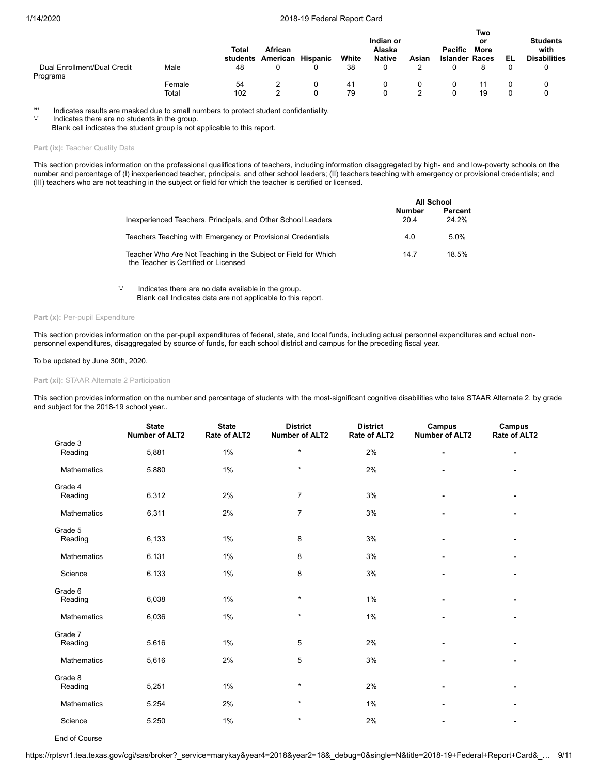|                                         |                 | Total<br>students | African<br>American Hispanic | White    | Indian or<br>Alaska<br><b>Native</b> | Asian | <b>Pacific</b><br><b>Islander Races</b> | Two<br>or<br>More | EL | <b>Students</b><br>with<br><b>Disabilities</b> |
|-----------------------------------------|-----------------|-------------------|------------------------------|----------|--------------------------------------|-------|-----------------------------------------|-------------------|----|------------------------------------------------|
| Dual Enrollment/Dual Credit<br>Programs | Male            | 48                |                              | 38       |                                      |       |                                         |                   |    | 0                                              |
|                                         | Female<br>Total | 54<br>102         |                              | 41<br>79 |                                      |       |                                         | 19                |    |                                                |

'\*' Indicates results are masked due to small numbers to protect student confidentiality.

Indicates there are no students in the group.

Blank cell indicates the student group is not applicable to this report.

### Part (ix): Teacher Quality Data

This section provides information on the professional qualifications of teachers, including information disaggregated by high- and and low-poverty schools on the number and percentage of (I) inexperienced teacher, principals, and other school leaders; (II) teachers teaching with emergency or provisional credentials; and (III) teachers who are not teaching in the subject or field for which the teacher is certified or licensed.

|                                                                                                        |                | All School       |
|--------------------------------------------------------------------------------------------------------|----------------|------------------|
| Inexperienced Teachers, Principals, and Other School Leaders                                           | Number<br>20.4 | Percent<br>24 2% |
| Teachers Teaching with Emergency or Provisional Credentials                                            | 4.0            | 5.0%             |
| Teacher Who Are Not Teaching in the Subject or Field for Which<br>the Teacher is Certified or Licensed | 14.7           | 18.5%            |

'-' Indicates there are no data available in the group. Blank cell Indicates data are not applicable to this report.

### Part (x): Per-pupil Expenditure

This section provides information on the per-pupil expenditures of federal, state, and local funds, including actual personnel expenditures and actual nonpersonnel expenditures, disaggregated by source of funds, for each school district and campus for the preceding fiscal year.

### To be updated by June 30th, 2020.

### **Part (xi):** STAAR Alternate 2 Participation

This section provides information on the number and percentage of students with the most-significant cognitive disabilities who take STAAR Alternate 2, by grade and subject for the 2018-19 school year..

|                    | <b>State</b><br><b>Number of ALT2</b> | <b>State</b><br>Rate of ALT2 | <b>District</b><br><b>Number of ALT2</b> | <b>District</b><br>Rate of ALT2 | Campus<br><b>Number of ALT2</b> | Campus<br>Rate of ALT2 |
|--------------------|---------------------------------------|------------------------------|------------------------------------------|---------------------------------|---------------------------------|------------------------|
| Grade 3<br>Reading | 5,881                                 | 1%                           | $\star$                                  | 2%                              |                                 |                        |
| <b>Mathematics</b> | 5,880                                 | 1%                           | $\star$                                  | 2%                              |                                 |                        |
| Grade 4<br>Reading | 6,312                                 | 2%                           | $\overline{7}$                           | 3%                              |                                 |                        |
| Mathematics        | 6,311                                 | 2%                           | $\overline{7}$                           | 3%                              | $\blacksquare$                  |                        |
| Grade 5<br>Reading | 6,133                                 | 1%                           | 8                                        | 3%                              |                                 |                        |
| Mathematics        | 6,131                                 | 1%                           | 8                                        | 3%                              |                                 |                        |
| Science            | 6,133                                 | 1%                           | 8                                        | 3%                              |                                 |                        |
| Grade 6<br>Reading | 6,038                                 | 1%                           | $\star$                                  | 1%                              |                                 |                        |
| Mathematics        | 6,036                                 | 1%                           | $\star$                                  | 1%                              |                                 |                        |
| Grade 7<br>Reading | 5,616                                 | 1%                           | 5                                        | 2%                              |                                 |                        |
| Mathematics        | 5,616                                 | 2%                           | 5                                        | 3%                              | ٠                               |                        |
| Grade 8<br>Reading | 5,251                                 | 1%                           | $\star$                                  | 2%                              |                                 |                        |
| Mathematics        | 5,254                                 | 2%                           | $\star$                                  | 1%                              |                                 |                        |
| Science            | 5,250                                 | 1%                           | $\star$                                  | 2%                              |                                 |                        |

End of Course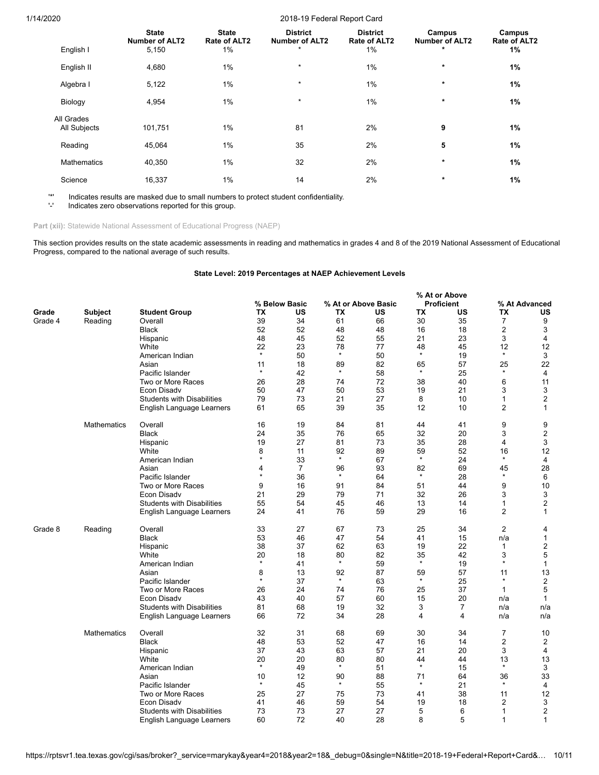|                    | <b>State</b><br><b>Number of ALT2</b> | <b>State</b><br>Rate of ALT2 | <b>District</b><br><b>Number of ALT2</b> | <b>District</b><br>Rate of ALT2 | Campus<br><b>Number of ALT2</b> | Campus<br>Rate of ALT2 |
|--------------------|---------------------------------------|------------------------------|------------------------------------------|---------------------------------|---------------------------------|------------------------|
| English I          | 5,150                                 | 1%                           | $\star$                                  | 1%                              | $\star$                         | 1%                     |
| English II         | 4,680                                 | $1\%$                        | $\star$                                  | $1\%$                           | $\star$                         | 1%                     |
| Algebra I          | 5,122                                 | 1%                           | $\star$                                  | 1%                              | $\ast$                          | 1%                     |
| Biology            | 4,954                                 | 1%                           | $\star$                                  | 1%                              | $\ast$                          | 1%                     |
| All Grades         |                                       |                              |                                          |                                 |                                 |                        |
| All Subjects       | 101,751                               | 1%                           | 81                                       | 2%                              | 9                               | 1%                     |
| Reading            | 45,064                                | 1%                           | 35                                       | 2%                              | 5                               | 1%                     |
| <b>Mathematics</b> | 40,350                                | 1%                           | 32                                       | 2%                              | $\ast$                          | 1%                     |
| Science            | 16,337                                | 1%                           | 14                                       | 2%                              | $\star$                         | 1%                     |

'\*' Indicates results are masked due to small numbers to protect student confidentiality.

Indicates zero observations reported for this group.

Part (xii): Statewide National Assessment of Educational Progress (NAEP)

This section provides results on the state academic assessments in reading and mathematics in grades 4 and 8 of the 2019 National Assessment of Educational Progress, compared to the national average of such results.

### **State Level: 2019 Percentages at NAEP Achievement Levels**

|         |                    |                                   |               |                |         |                     |           | % At or Above     |                |                  |
|---------|--------------------|-----------------------------------|---------------|----------------|---------|---------------------|-----------|-------------------|----------------|------------------|
|         |                    |                                   |               | % Below Basic  |         | % At or Above Basic |           | <b>Proficient</b> |                | % At Advanced    |
| Grade   | Subject            | <b>Student Group</b>              | ТX            | US             | ТX      | US                  | <b>TX</b> | US                | TX             | US               |
| Grade 4 | Reading            | Overall                           | 39            | 34             | 61      | 66                  | 30        | 35                | $\overline{7}$ | 9                |
|         |                    | Black                             | 52            | 52             | 48      | 48                  | 16        | 18                | 2              | 3                |
|         |                    | Hispanic                          | 48            | 45             | 52      | 55                  | 21        | 23                | 3              | $\overline{4}$   |
|         |                    | White                             | 22<br>$\star$ | 23             | 78      | 77                  | 48        | 45                | 12             | 12               |
|         |                    | American Indian                   |               | 50             | $\star$ | 50                  | $\star$   | 19                | $\star$        | 3                |
|         |                    | Asian                             | 11            | 18             | 89      | 82                  | 65        | 57                | 25             | 22               |
|         |                    | Pacific Islander                  | $\star$       | 42             | $\star$ | 58                  | $\star$   | 25                | $\star$        | 4                |
|         |                    | Two or More Races                 | 26            | 28             | 74      | 72                  | 38        | 40                | 6              | 11               |
|         |                    | <b>Econ Disadv</b>                | 50            | 47             | 50      | 53                  | 19        | 21                | 3              | 3                |
|         |                    | <b>Students with Disabilities</b> | 79            | 73             | 21      | 27                  | 8         | 10                | 1              | $\boldsymbol{2}$ |
|         |                    | English Language Learners         | 61            | 65             | 39      | 35                  | 12        | 10                | 2              | $\mathbf{1}$     |
|         | <b>Mathematics</b> | Overall                           | 16            | 19             | 84      | 81                  | 44        | 41                | 9              | 9                |
|         |                    | <b>Black</b>                      | 24            | 35             | 76      | 65                  | 32        | 20                | 3              | $\overline{c}$   |
|         |                    | Hispanic                          | 19            | 27             | 81      | 73                  | 35        | 28                | 4              | 3                |
|         |                    | White                             | 8             | 11             | 92      | 89                  | 59        | 52                | 16             | 12               |
|         |                    | American Indian                   | $\star$       | 33             | $\star$ | 67                  | $\star$   | 24                | $\star$        | $\overline{4}$   |
|         |                    | Asian                             | 4             | $\overline{7}$ | 96      | 93                  | 82        | 69                | 45             | 28               |
|         |                    | Pacific Islander                  | $\star$       | 36             | $\star$ | 64                  | $\star$   | 28                | $\star$        | 6                |
|         |                    | Two or More Races                 | 9             | 16             | 91      | 84                  | 51        | 44                | 9              | 10               |
|         |                    | Econ Disadv                       | 21            | 29             | 79      | 71                  | 32        | 26                | 3              | 3                |
|         |                    | <b>Students with Disabilities</b> | 55            | 54             | 45      | 46                  | 13        | 14                | 1              | $\boldsymbol{2}$ |
|         |                    | English Language Learners         | 24            | 41             | 76      | 59                  | 29        | 16                | $\overline{2}$ | $\mathbf{1}$     |
| Grade 8 | Reading            | Overall                           | 33            | 27             | 67      | 73                  | 25        | 34                | $\overline{2}$ | 4                |
|         |                    | <b>Black</b>                      | 53            | 46             | 47      | 54                  | 41        | 15                | n/a            | 1                |
|         |                    | Hispanic                          | 38            | 37             | 62      | 63                  | 19        | 22                | 1              | $\boldsymbol{2}$ |
|         |                    | White                             | 20            | 18             | 80      | 82                  | 35        | 42                | 3              | 5                |
|         |                    | American Indian                   | $\star$       | 41             | $\star$ | 59                  | $\star$   | 19                | $\star$        | $\mathbf{1}$     |
|         |                    | Asian                             | 8             | 13             | 92      | 87                  | 59        | 57                | 11             | 13               |
|         |                    | Pacific Islander                  | $\star$       | 37             | $\star$ | 63                  | $\star$   | 25                | $\star$        | $\overline{2}$   |
|         |                    | Two or More Races                 | 26            | 24             | 74      | 76                  | 25        | 37                | $\mathbf{1}$   | 5                |
|         |                    | Econ Disady                       | 43            | 40             | 57      | 60                  | 15        | 20                | n/a            | $\mathbf{1}$     |
|         |                    | <b>Students with Disabilities</b> | 81            | 68             | 19      | 32                  | 3         | $\overline{7}$    | n/a            | n/a              |
|         |                    | English Language Learners         | 66            | 72             | 34      | 28                  | 4         | 4                 | n/a            | n/a              |
|         | Mathematics        | Overall                           | 32            | 31             | 68      | 69                  | 30        | 34                | $\overline{7}$ | 10               |
|         |                    | <b>Black</b>                      | 48            | 53             | 52      | 47                  | 16        | 14                | $\overline{2}$ | 2                |
|         |                    | Hispanic                          | 37            | 43             | 63      | 57                  | 21        | 20                | 3              | 4                |
|         |                    | White                             | 20            | 20             | 80      | 80                  | 44        | 44                | 13             | 13               |
|         |                    | American Indian                   | $\star$       | 49             | $\star$ | 51                  | $\star$   | 15                | $\star$        | 3                |
|         |                    | Asian                             | 10            | 12             | 90      | 88                  | 71        | 64                | 36             | 33               |
|         |                    | Pacific Islander                  | $\star$       | 45             | $\star$ | 55                  | $\star$   | 21                | $\star$        | 4                |
|         |                    | Two or More Races                 | 25            | 27             | 75      | 73                  | 41        | 38                | 11             | 12               |
|         |                    | <b>Econ Disadv</b>                | 41            | 46             | 59      | 54                  | 19        | 18                | 2              | 3                |
|         |                    | <b>Students with Disabilities</b> | 73            | 73             | 27      | 27                  | 5         | 6                 | 1              | $\overline{2}$   |
|         |                    | English Language Learners         | 60            | 72             | 40      | 28                  | 8         | 5                 | 1              | $\mathbf{1}$     |